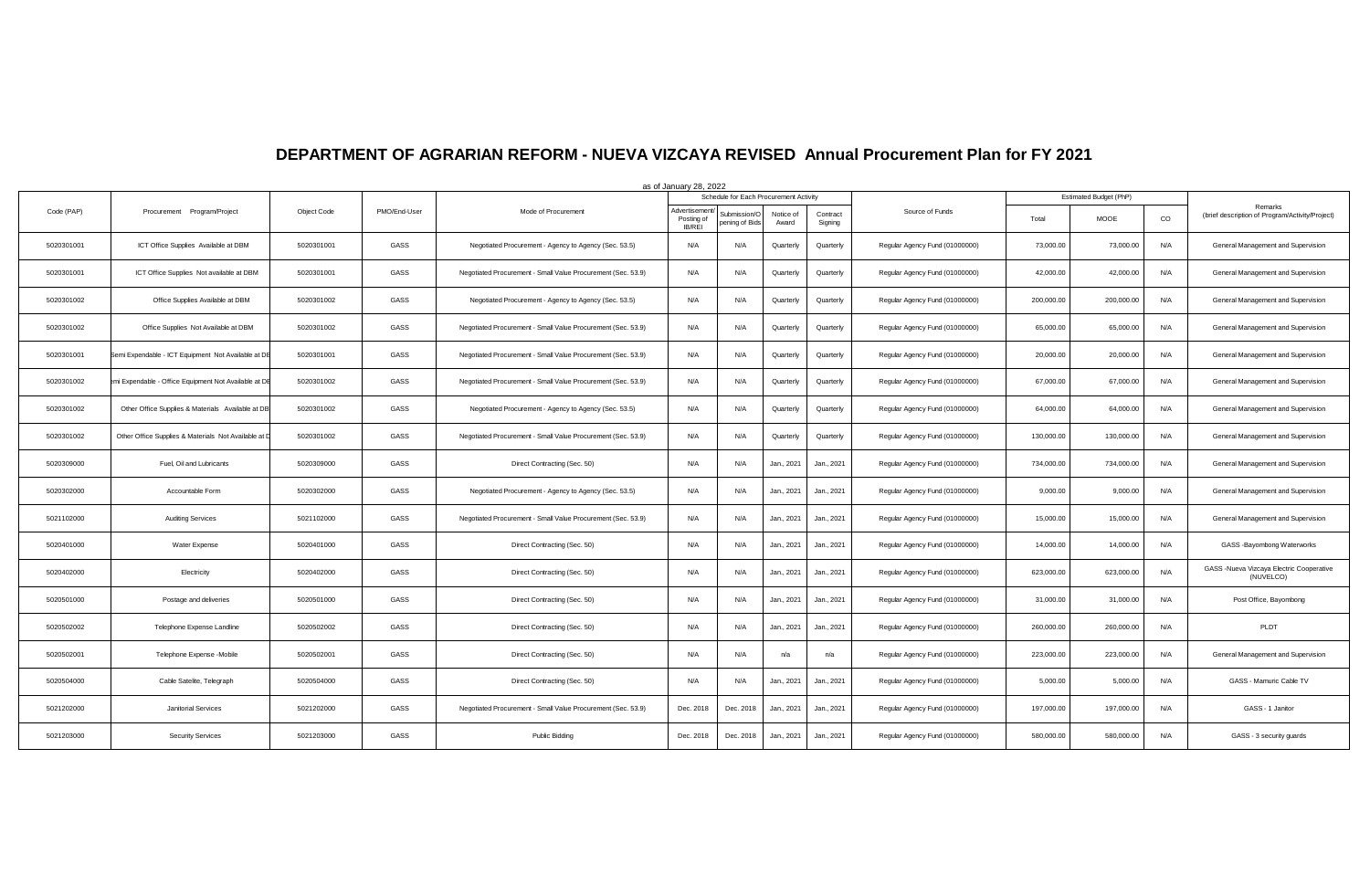## **DEPARTMENT OF AGRARIAN REFORM - NUEVA VIZCAYA REVISED Annual Procurement Plan for FY 2021**

|            |                                                      |             |              |                                                              | as of January 28, 2022               |                                        |                    |                     |                                |            |                        |             |                                                            |
|------------|------------------------------------------------------|-------------|--------------|--------------------------------------------------------------|--------------------------------------|----------------------------------------|--------------------|---------------------|--------------------------------|------------|------------------------|-------------|------------------------------------------------------------|
|            |                                                      |             |              |                                                              |                                      | Schedule for Each Procurement Activity |                    |                     |                                |            | Estimated Budget (PhP) |             |                                                            |
| Code (PAP) | Procurement Program/Project                          | Object Code | PMO/End-User | Mode of Procurement                                          | Advertisemen<br>Posting of<br>IB/REI | <b>Submission/O</b><br>ening of Bids   | Notice of<br>Award | Contract<br>Signing | Source of Funds                | Total      | MOOE                   | $_{\rm CO}$ | Remarks<br>(brief description of Program/Activity/Project) |
| 5020301001 | ICT Office Supplies Available at DBM                 | 5020301001  | GASS         | Negotiated Procurement - Agency to Agency (Sec. 53.5)        | N/A                                  | N/A                                    | Quarterly          | Quarterly           | Regular Agency Fund (01000000) | 73,000.00  | 73,000.00              | N/A         | General Management and Supervision                         |
| 5020301001 | ICT Office Supplies Not available at DBM             | 5020301001  | GASS         | Negotiated Procurement - Small Value Procurement (Sec. 53.9) | N/A                                  | N/A                                    | Quarterly          | Quarterly           | Regular Agency Fund (01000000) | 42,000.00  | 42,000.00              | N/A         | General Management and Supervision                         |
| 5020301002 | Office Supplies Available at DBM                     | 5020301002  | GASS         | Negotiated Procurement - Agency to Agency (Sec. 53.5)        | N/A                                  | N/A                                    | Quarterly          | Quarterly           | Regular Agency Fund (01000000) | 200,000.00 | 200,000.00             | N/A         | General Management and Supervision                         |
| 5020301002 | Office Supplies Not Available at DBM                 | 5020301002  | GASS         | Negotiated Procurement - Small Value Procurement (Sec. 53.9) | N/A                                  | N/A                                    | Quarterly          | Quarterly           | Regular Agency Fund (01000000) | 65,000.00  | 65,000.00              | N/A         | General Management and Supervision                         |
| 5020301001 | Semi Expendable - ICT Equipment Not Available at DE  | 5020301001  | GASS         | Negotiated Procurement - Small Value Procurement (Sec. 53.9) | N/A                                  | N/A                                    | Quarterly          | Quarterly           | Regular Agency Fund (01000000) | 20,000.00  | 20,000.00              | N/A         | General Management and Supervision                         |
| 5020301002 | i Expendable - Office Equipment Not Available at DB  | 5020301002  | GASS         | Negotiated Procurement - Small Value Procurement (Sec. 53.9) | N/A                                  | N/A                                    | Quarterly          | Quarterly           | Regular Agency Fund (01000000) | 67,000.00  | 67,000.00              | N/A         | General Management and Supervision                         |
| 5020301002 | Other Office Supplies & Materials Available at DB    | 5020301002  | GASS         | Negotiated Procurement - Agency to Agency (Sec. 53.5)        | N/A                                  | N/A                                    | Quarterly          | Quarterly           | Regular Agency Fund (01000000) | 64,000.00  | 64,000.00              | N/A         | General Management and Supervision                         |
| 5020301002 | Other Office Supplies & Materials Not Available at I | 5020301002  | GASS         | Negotiated Procurement - Small Value Procurement (Sec. 53.9) | N/A                                  | N/A                                    | Quarterly          | Quarterly           | Regular Agency Fund (01000000) | 130,000.00 | 130,000.00             | N/A         | General Management and Supervision                         |
| 5020309000 | Fuel, Oil and Lubricants                             | 5020309000  | GASS         | Direct Contracting (Sec. 50)                                 | N/A                                  | N/A                                    | Jan., 2021         | Jan., 2021          | Regular Agency Fund (01000000) | 734,000.00 | 734,000.00             | N/A         | General Management and Supervision                         |
| 5020302000 | Accountable Form                                     | 5020302000  | GASS         | Negotiated Procurement - Agency to Agency (Sec. 53.5)        | N/A                                  | N/A                                    | Jan., 2021         | Jan., 2021          | Regular Agency Fund (01000000) | 9,000.00   | 9,000.00               | N/A         | General Management and Supervision                         |
| 5021102000 | <b>Auditing Services</b>                             | 5021102000  | GASS         | Negotiated Procurement - Small Value Procurement (Sec. 53.9) | N/A                                  | N/A                                    | Jan., 2021         | Jan., 2021          | Regular Agency Fund (01000000) | 15,000.00  | 15,000.00              | N/A         | General Management and Supervision                         |
| 5020401000 | Water Expense                                        | 5020401000  | GASS         | Direct Contracting (Sec. 50)                                 | N/A                                  | N/A                                    | Jan., 2021         | Jan., 2021          | Regular Agency Fund (01000000) | 14,000.00  | 14,000.00              | N/A         | GASS - Bayombong Waterworks                                |
| 5020402000 | Electricity                                          | 5020402000  | GASS         | Direct Contracting (Sec. 50)                                 | N/A                                  | N/A                                    | Jan., 2021         | Jan., 2021          | Regular Agency Fund (01000000) | 623,000.00 | 623,000.00             | N/A         | GASS -Nueva Vizcaya Electric Cooperative<br>(NUVELCO)      |
| 5020501000 | Postage and deliveries                               | 5020501000  | GASS         | Direct Contracting (Sec. 50)                                 | N/A                                  | N/A                                    | Jan., 2021         | Jan., 2021          | Regular Agency Fund (01000000) | 31,000.00  | 31,000.00              | N/A         | Post Office, Bayombong                                     |
| 5020502002 | Telephone Expense Landline                           | 5020502002  | GASS         | Direct Contracting (Sec. 50)                                 | N/A                                  | N/A                                    | Jan., 2021         | Jan., 2021          | Regular Agency Fund (01000000) | 260,000.00 | 260,000.00             | N/A         | PLDT                                                       |
| 5020502001 | Telephone Expense -Mobile                            | 5020502001  | GASS         | Direct Contracting (Sec. 50)                                 | N/A                                  | N/A                                    | n/a                | n/a                 | Regular Agency Fund (01000000) | 223,000.00 | 223,000.00             | N/A         | General Management and Supervision                         |
| 5020504000 | Cable Satelite, Telegraph                            | 5020504000  | GASS         | Direct Contracting (Sec. 50)                                 | N/A                                  | N/A                                    | Jan., 2021         | Jan., 2021          | Regular Agency Fund (01000000) | 5,000.00   | 5,000.00               | N/A         | GASS - Mamuric Cable TV                                    |
| 5021202000 | Janitorial Services                                  | 5021202000  | GASS         | Negotiated Procurement - Small Value Procurement (Sec. 53.9) | Dec. 2018                            | Dec. 2018                              | Jan., 2021         | Jan., 2021          | Regular Agency Fund (01000000) | 197,000.00 | 197,000.00             | N/A         | GASS - 1 Janitor                                           |
| 5021203000 | <b>Security Services</b>                             | 5021203000  | GASS         | Public Bidding                                               | Dec. 2018                            | Dec. 2018                              | Jan., 2021         | Jan., 2021          | Regular Agency Fund (01000000) | 580,000.00 | 580,000.00             | N/A         | GASS - 3 security guards                                   |
|            |                                                      |             |              |                                                              |                                      |                                        |                    |                     |                                |            |                        |             |                                                            |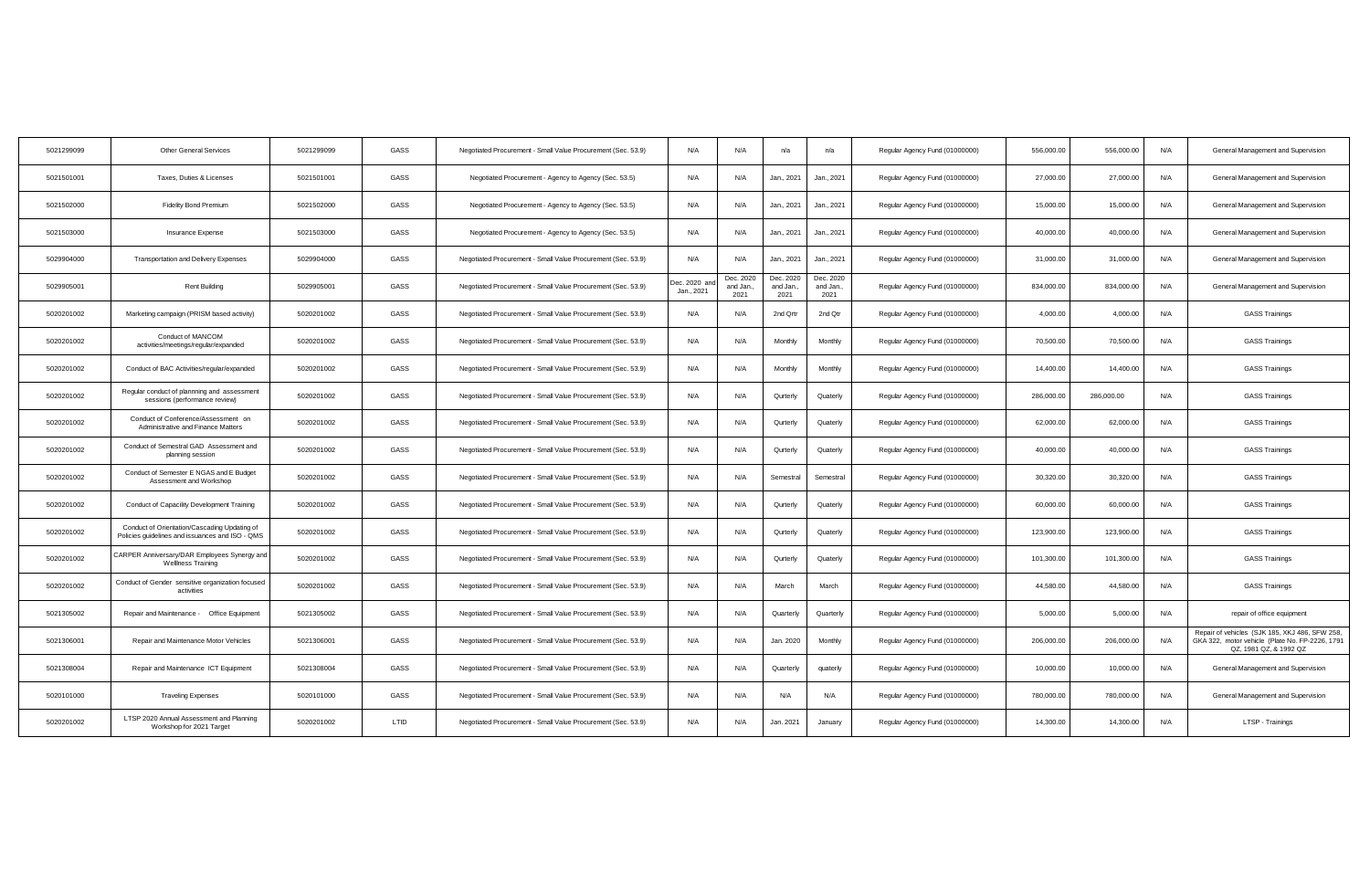| 5021299099 | <b>Other General Services</b>                                                                   | 5021299099 | GASS | Negotiated Procurement - Small Value Procurement (Sec. 53.9) | N/A                       | N/A                           | n/a                           | n/a                            | Regular Agency Fund (01000000) | 556,000.00 | 556,000.00 | N/A | General Management and Supervision                                                                                          |
|------------|-------------------------------------------------------------------------------------------------|------------|------|--------------------------------------------------------------|---------------------------|-------------------------------|-------------------------------|--------------------------------|--------------------------------|------------|------------|-----|-----------------------------------------------------------------------------------------------------------------------------|
| 5021501001 | Taxes, Duties & Licenses                                                                        | 5021501001 | GASS | Negotiated Procurement - Agency to Agency (Sec. 53.5)        | N/A                       | N/A                           | Jan., 2021                    | Jan., 2021                     | Regular Agency Fund (01000000) | 27,000.00  | 27,000.00  | N/A | General Management and Supervision                                                                                          |
| 5021502000 | <b>Fidelity Bond Premium</b>                                                                    | 5021502000 | GASS | Negotiated Procurement - Agency to Agency (Sec. 53.5)        | N/A                       | N/A                           | Jan., 2021                    | Jan., 2021                     | Regular Agency Fund (01000000) | 15,000.00  | 15,000.00  | N/A | General Management and Supervision                                                                                          |
| 5021503000 | Insurance Expense                                                                               | 5021503000 | GASS | Negotiated Procurement - Agency to Agency (Sec. 53.5)        | N/A                       | N/A                           | Jan., 2021                    | Jan., 2021                     | Regular Agency Fund (01000000) | 40,000.00  | 40,000.00  | N/A | General Management and Supervision                                                                                          |
| 5029904000 | Transportation and Delivery Expenses                                                            | 5029904000 | GASS | Negotiated Procurement - Small Value Procurement (Sec. 53.9) | N/A                       | N/A                           | Jan., 2021                    | Jan., 2021                     | Regular Agency Fund (01000000) | 31,000.00  | 31,000.00  | N/A | General Management and Supervision                                                                                          |
| 5029905001 | <b>Rent Building</b>                                                                            | 5029905001 | GASS | Negotiated Procurement - Small Value Procurement (Sec. 53.9) | ec. 2020 an<br>Jan., 2021 | Dec. 2020<br>and Jan.<br>2021 | Dec. 2020<br>and Jan.<br>2021 | Dec. 2020<br>and Jan.,<br>2021 | Regular Agency Fund (01000000) | 834,000.00 | 834,000.00 | N/A | General Management and Supervision                                                                                          |
| 5020201002 | Marketing campaign (PRISM based activity)                                                       | 5020201002 | GASS | Negotiated Procurement - Small Value Procurement (Sec. 53.9) | N/A                       | N/A                           | 2nd Qrtr                      | 2nd Qtr                        | Regular Agency Fund (01000000) | 4,000.00   | 4,000.00   | N/A | <b>GASS Trainings</b>                                                                                                       |
| 5020201002 | Conduct of MANCOM<br>activities/meetings/regular/expanded                                       | 5020201002 | GASS | Negotiated Procurement - Small Value Procurement (Sec. 53.9) | N/A                       | N/A                           | Monthly                       | Monthly                        | Regular Agency Fund (01000000) | 70,500.00  | 70,500.00  | N/A | <b>GASS Trainings</b>                                                                                                       |
| 5020201002 | Conduct of BAC Activities/regular/expanded                                                      | 5020201002 | GASS | Negotiated Procurement - Small Value Procurement (Sec. 53.9) | N/A                       | N/A                           | Monthly                       | Monthly                        | Regular Agency Fund (01000000) | 14,400.00  | 14,400.00  | N/A | <b>GASS Trainings</b>                                                                                                       |
| 5020201002 | Regular conduct of plannning and assessment<br>sessions (performance review)                    | 5020201002 | GASS | Negotiated Procurement - Small Value Procurement (Sec. 53.9) | N/A                       | N/A                           | Qurterly                      | Quaterly                       | Regular Agency Fund (01000000) | 286,000.00 | 286,000.00 | N/A | <b>GASS Trainings</b>                                                                                                       |
| 5020201002 | Conduct of Conference/Assessment on<br>Administrative and Finance Matters                       | 5020201002 | GASS | Negotiated Procurement - Small Value Procurement (Sec. 53.9) | N/A                       | N/A                           | Qurterly                      | Quaterly                       | Regular Agency Fund (01000000) | 62,000.00  | 62,000.00  | N/A | <b>GASS Trainings</b>                                                                                                       |
| 5020201002 | Conduct of Semestral GAD Assessment and<br>planning session                                     | 5020201002 | GASS | Negotiated Procurement - Small Value Procurement (Sec. 53.9) | N/A                       | N/A                           | Qurterly                      | Quaterly                       | Regular Agency Fund (01000000) | 40,000.00  | 40,000.00  | N/A | <b>GASS Trainings</b>                                                                                                       |
| 5020201002 | Conduct of Semester E NGAS and E Budget<br>Assessment and Workshop                              | 5020201002 | GASS | Negotiated Procurement - Small Value Procurement (Sec. 53.9) | N/A                       | N/A                           | Semestral                     | Semestral                      | Regular Agency Fund (01000000) | 30,320.00  | 30,320.00  | N/A | <b>GASS Trainings</b>                                                                                                       |
| 5020201002 | Conduct of Capacility Development Training                                                      | 5020201002 | GASS | Negotiated Procurement - Small Value Procurement (Sec. 53.9) | N/A                       | N/A                           | Qurterly                      | Quaterly                       | Regular Agency Fund (01000000) | 60,000.00  | 60,000.00  | N/A | <b>GASS Trainings</b>                                                                                                       |
| 5020201002 | Conduct of Orientation/Cascading Updating of<br>Policies guidelines and issuances and ISO - QMS | 5020201002 | GASS | Negotiated Procurement - Small Value Procurement (Sec. 53.9) | N/A                       | N/A                           | Qurterly                      | Quaterly                       | Regular Agency Fund (01000000) | 123,900.00 | 123,900.00 | N/A | <b>GASS Trainings</b>                                                                                                       |
| 5020201002 | CARPER Anniversary/DAR Employees Synergy and<br><b>Wellness Training</b>                        | 5020201002 | GASS | Negotiated Procurement - Small Value Procurement (Sec. 53.9) | N/A                       | N/A                           | Qurterly                      | Quaterly                       | Regular Agency Fund (01000000) | 101,300.00 | 101,300.00 | N/A | <b>GASS Trainings</b>                                                                                                       |
| 5020201002 | Conduct of Gender sensitive organization focused<br>activities                                  | 5020201002 | GASS | Negotiated Procurement - Small Value Procurement (Sec. 53.9) | N/A                       | N/A                           | March                         | March                          | Regular Agency Fund (01000000) | 44,580.00  | 44,580.00  | N/A | <b>GASS Trainings</b>                                                                                                       |
| 5021305002 | Repair and Maintenance - Office Equipment                                                       | 5021305002 | GASS | Negotiated Procurement - Small Value Procurement (Sec. 53.9) | N/A                       | N/A                           | Quarterly                     | Quarterly                      | Regular Agency Fund (01000000) | 5,000.00   | 5,000.00   | N/A | repair of office equipment                                                                                                  |
| 5021306001 | Repair and Maintenance Motor Vehicles                                                           | 5021306001 | GASS | Negotiated Procurement - Small Value Procurement (Sec. 53.9) | N/A                       | N/A                           | Jan. 2020                     | Monthly                        | Regular Agency Fund (01000000) | 206,000.00 | 206,000.00 | N/A | Repair of vehicles (SJK 185, XKJ 486, SFW 258,<br>GKA 322, motor vehicle (Plate No. FP-2226, 1791<br>QZ, 1981 QZ, & 1992 QZ |
| 5021308004 | Repair and Maintenance ICT Equipment                                                            | 5021308004 | GASS | Negotiated Procurement - Small Value Procurement (Sec. 53.9) | N/A                       | N/A                           | Quarterly                     | quaterly                       | Regular Agency Fund (01000000) | 10,000.00  | 10,000.00  | N/A | General Management and Supervision                                                                                          |
| 5020101000 | <b>Traveling Expenses</b>                                                                       | 5020101000 | GASS | Negotiated Procurement - Small Value Procurement (Sec. 53.9) | N/A                       | N/A                           | N/A                           | N/A                            | Regular Agency Fund (01000000) | 780,000.00 | 780,000.00 | N/A | General Management and Supervision                                                                                          |
| 5020201002 | LTSP 2020 Annual Assessment and Planning<br>Workshop for 2021 Target                            | 5020201002 | LTID | Negotiated Procurement - Small Value Procurement (Sec. 53.9) | N/A                       | N/A                           | Jan. 2021                     | January                        | Regular Agency Fund (01000000) | 14,300.00  | 14.300.00  | N/A | LTSP - Trainings                                                                                                            |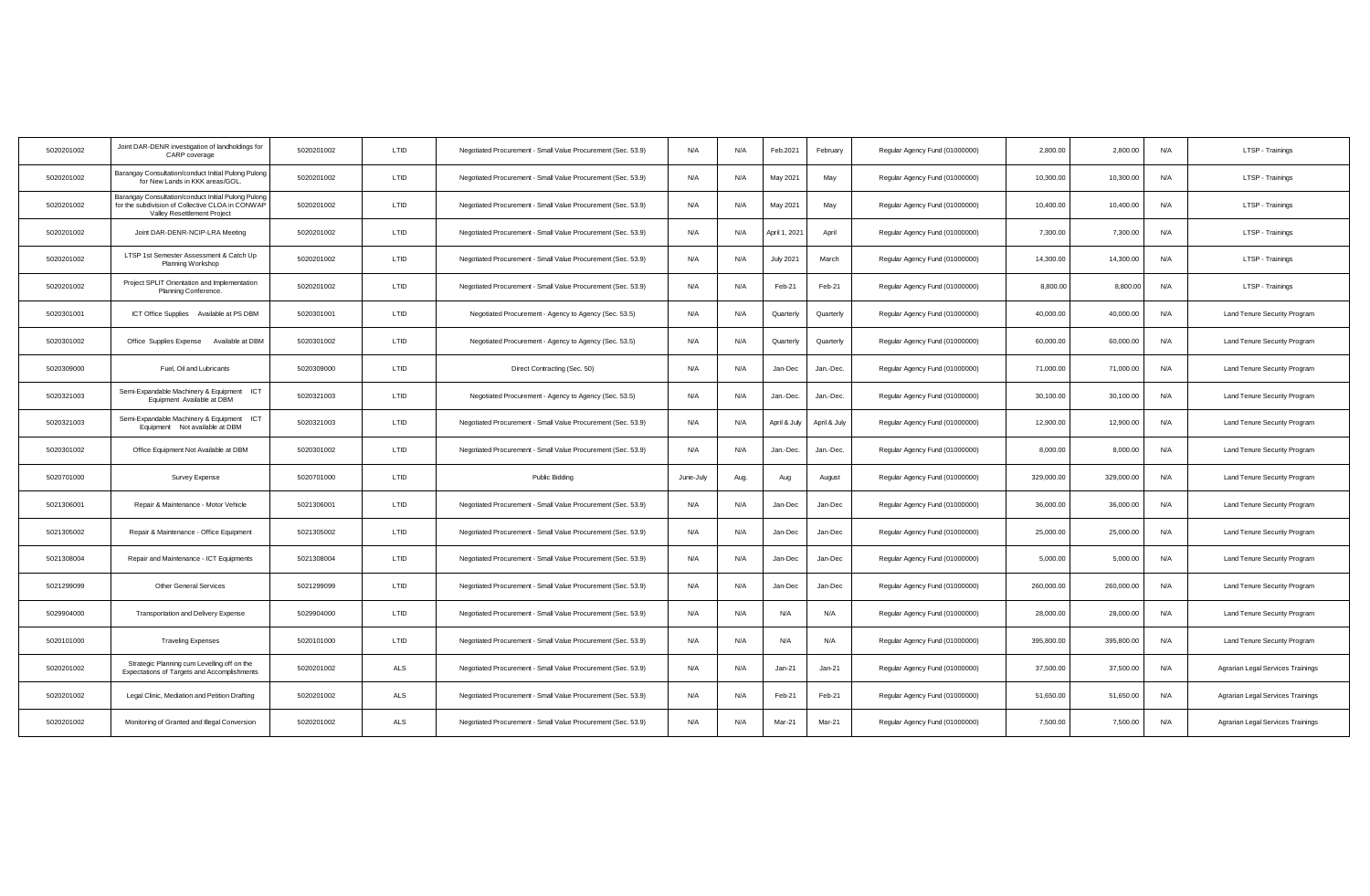| 5020201002 | Joint DAR-DENR investigation of landholdings for<br>CARP coverage                                                                      | 5020201002 | LTID        | Negotiated Procurement - Small Value Procurement (Sec. 53.9) | N/A       | N/A  | Feb.2021         | February     | Regular Agency Fund (01000000) | 2,800.00   | 2,800.00   | N/A | LTSP - Trainings                  |
|------------|----------------------------------------------------------------------------------------------------------------------------------------|------------|-------------|--------------------------------------------------------------|-----------|------|------------------|--------------|--------------------------------|------------|------------|-----|-----------------------------------|
| 5020201002 | Barangay Consultation/conduct Initial Pulong Pulong<br>for New Lands in KKK areas/GOL.                                                 | 5020201002 | LTID        | Negotiated Procurement - Small Value Procurement (Sec. 53.9) | N/A       | N/A  | May 2021         | May          | Regular Agency Fund (01000000) | 10,300.00  | 10,300.00  | N/A | LTSP - Trainings                  |
| 5020201002 | Barangay Consultation/conduct Initial Pulong Pulong<br>for the subdivision of Collective CLOA in CONWAP<br>Valley Resettlement Project | 5020201002 | LTID        | Negotiated Procurement - Small Value Procurement (Sec. 53.9) | N/A       | N/A  | May 2021         | May          | Regular Agency Fund (01000000) | 10,400.00  | 10,400.00  | N/A | LTSP - Trainings                  |
| 5020201002 | Joint DAR-DENR-NCIP-LRA Meeting                                                                                                        | 5020201002 | <b>LTID</b> | Negotiated Procurement - Small Value Procurement (Sec. 53.9) | N/A       | N/A  | April 1, 2021    | April        | Regular Agency Fund (01000000) | 7.300.00   | 7.300.00   | N/A | LTSP - Trainings                  |
| 5020201002 | LTSP 1st Semester Assessment & Catch Up<br>Planning Workshop                                                                           | 5020201002 | LTID        | Negotiated Procurement - Small Value Procurement (Sec. 53.9) | N/A       | N/A  | <b>July 2021</b> | March        | Regular Agency Fund (01000000) | 14,300.00  | 14,300.00  | N/A | LTSP - Trainings                  |
| 5020201002 | Project SPLIT Orientation and Implementation<br>Planning Conference.                                                                   | 5020201002 | LTID        | Negotiated Procurement - Small Value Procurement (Sec. 53.9) | N/A       | N/A  | Feb-21           | Feb-21       | Regular Agency Fund (01000000) | 8,800.00   | 8,800.00   | N/A | LTSP - Trainings                  |
| 5020301001 | ICT Office Supplies Available at PS DBM                                                                                                | 5020301001 | LTID        | Negotiated Procurement - Agency to Agency (Sec. 53.5)        | N/A       | N/A  | Quarterly        | Quarterly    | Regular Agency Fund (01000000) | 40,000.00  | 40,000.00  | N/A | Land Tenure Security Program      |
| 5020301002 | Office Supplies Expense Available at DBM                                                                                               | 5020301002 | LTID        | Negotiated Procurement - Agency to Agency (Sec. 53.5)        | N/A       | N/A  | Quarterly        | Quarterly    | Regular Agency Fund (01000000) | 60,000.00  | 60,000.00  | N/A | Land Tenure Security Program      |
| 5020309000 | Fuel, Oil and Lubricants                                                                                                               | 5020309000 | LTID        | Direct Contracting (Sec. 50)                                 | N/A       | N/A  | Jan-Dec          | Jan.-Dec.    | Regular Agency Fund (01000000) | 71,000.00  | 71,000.00  | N/A | Land Tenure Security Program      |
| 5020321003 | Semi-Expandable Machinery & Equipment ICT<br>Equipment Available at DBM                                                                | 5020321003 | LTID        | Negotiated Procurement - Agency to Agency (Sec. 53.5)        | N/A       | N/A  | Jan.-Dec.        | Jan.-Dec.    | Regular Agency Fund (01000000) | 30,100.00  | 30,100.00  | N/A | Land Tenure Security Program      |
| 5020321003 | Semi-Expandable Machinery & Equipment ICT<br>Equipment Not available at DBM                                                            | 5020321003 | LTID        | Negotiated Procurement - Small Value Procurement (Sec. 53.9) | N/A       | N/A  | April & July     | April & July | Regular Agency Fund (01000000) | 12,900.00  | 12,900.00  | N/A | Land Tenure Security Program      |
| 5020301002 | Office Equipment Not Available at DBM                                                                                                  | 5020301002 | LTID        | Negotiated Procurement - Small Value Procurement (Sec. 53.9) | N/A       | N/A  | Jan.-Dec.        | Jan.-Dec.    | Regular Agency Fund (01000000) | 8,000.00   | 8,000.00   | N/A | Land Tenure Security Program      |
| 5020701000 | Survey Expense                                                                                                                         | 5020701000 | LTID        | Public Bidding                                               | June-July | Aug. | Aug              | August       | Regular Agency Fund (01000000) | 329,000.00 | 329,000.00 | N/A | Land Tenure Security Program      |
| 5021306001 | Repair & Maintenance - Motor Vehicle                                                                                                   | 5021306001 | LTID        | Negotiated Procurement - Small Value Procurement (Sec. 53.9) | N/A       | N/A  | Jan-Dec          | Jan-Dec      | Regular Agency Fund (01000000) | 36,000.00  | 36,000.00  | N/A | Land Tenure Security Program      |
| 5021305002 | Repair & Maintenance - Office Equipment                                                                                                | 5021305002 | LTID        | Negotiated Procurement - Small Value Procurement (Sec. 53.9) | N/A       | N/A  | Jan-Dec          | Jan-Dec      | Regular Agency Fund (01000000) | 25,000.00  | 25,000.00  | N/A | Land Tenure Security Program      |
| 5021308004 | Repair and Maintenance - ICT Equipments                                                                                                | 5021308004 | LTID        | Negotiated Procurement - Small Value Procurement (Sec. 53.9) | N/A       | N/A  | Jan-Dec          | Jan-Dec      | Regular Agency Fund (01000000) | 5,000.00   | 5,000.00   | N/A | Land Tenure Security Program      |
| 5021299099 | <b>Other General Services</b>                                                                                                          | 5021299099 | LTID        | Negotiated Procurement - Small Value Procurement (Sec. 53.9) | N/A       | N/A  | Jan-Dec          | Jan-Dec      | Regular Agency Fund (01000000) | 260,000.00 | 260,000.00 | N/A | Land Tenure Security Program      |
| 5029904000 | Transportation and Delivery Expense                                                                                                    | 5029904000 | LTID        | Negotiated Procurement - Small Value Procurement (Sec. 53.9) | N/A       | N/A  | N/A              | N/A          | Regular Agency Fund (01000000) | 28,000.00  | 28,000.00  | N/A | Land Tenure Security Program      |
| 5020101000 | <b>Traveling Expenses</b>                                                                                                              | 5020101000 | LTID        | Negotiated Procurement - Small Value Procurement (Sec. 53.9) | N/A       | N/A  | N/A              | N/A          | Regular Agency Fund (01000000) | 395,800.00 | 395,800.00 | N/A | Land Tenure Security Program      |
| 5020201002 | Strategic Planning cum Levelling off on the<br>Expectations of Targets and Accomplishments                                             | 5020201002 | ALS         | Negotiated Procurement - Small Value Procurement (Sec. 53.9) | N/A       | N/A  | $Jan-21$         | $Jan-21$     | Regular Agency Fund (01000000) | 37,500.00  | 37,500.00  | N/A | Agrarian Legal Services Trainings |
| 5020201002 | Legal Clinic, Mediation and Petition Drafting                                                                                          | 5020201002 | ALS         | Negotiated Procurement - Small Value Procurement (Sec. 53.9) | N/A       | N/A  | Feb-21           | Feb-21       | Regular Agency Fund (01000000) | 51,650.00  | 51,650.00  | N/A | Agrarian Legal Services Trainings |
| 5020201002 | Monitoring of Granted and Illegal Conversion                                                                                           | 5020201002 | ALS         | Negotiated Procurement - Small Value Procurement (Sec. 53.9) | N/A       | N/A  | Mar-21           | Mar-21       | Regular Agency Fund (01000000) | 7,500.00   | 7,500.00   | N/A | Agrarian Legal Services Trainings |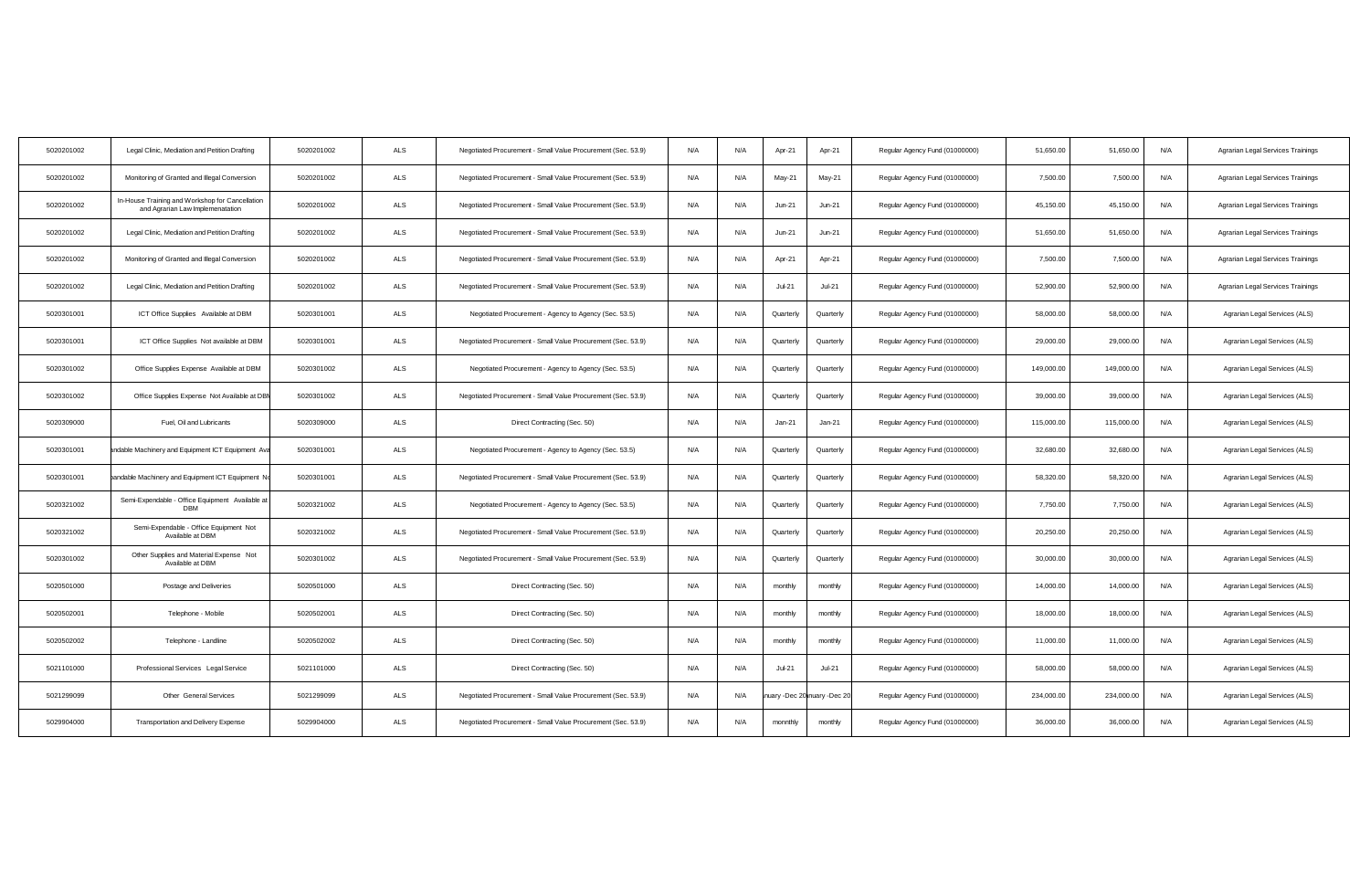| 5020201002 | Legal Clinic, Mediation and Petition Drafting                                       | 5020201002 | ALS | Negotiated Procurement - Small Value Procurement (Sec. 53.9) | N/A | N/A | Apr-21        | Apr-21                     | Regular Agency Fund (01000000) | 51,650.00  | 51,650.00  | N/A<br>Agrarian Legal Services Trainings |
|------------|-------------------------------------------------------------------------------------|------------|-----|--------------------------------------------------------------|-----|-----|---------------|----------------------------|--------------------------------|------------|------------|------------------------------------------|
| 5020201002 | Monitoring of Granted and Illegal Conversion                                        | 5020201002 | ALS | Negotiated Procurement - Small Value Procurement (Sec. 53.9) | N/A | N/A | May-21        | May-21                     | Regular Agency Fund (01000000) | 7,500.00   | 7,500.00   | N/A<br>Agrarian Legal Services Trainings |
| 5020201002 | In-House Training and Workshop for Cancellation<br>and Agrarian Law Implemenatation | 5020201002 | ALS | Negotiated Procurement - Small Value Procurement (Sec. 53.9) | N/A | N/A | Jun-21        | $Jun-21$                   | Regular Agency Fund (01000000) | 45,150.00  | 45,150.00  | N/A<br>Agrarian Legal Services Trainings |
| 5020201002 | Legal Clinic, Mediation and Petition Drafting                                       | 5020201002 | ALS | Negotiated Procurement - Small Value Procurement (Sec. 53.9) | N/A | N/A | $Jun-21$      | $Jun-21$                   | Regular Agency Fund (01000000) | 51,650.00  | 51,650.00  | N/A<br>Agrarian Legal Services Trainings |
| 5020201002 | Monitoring of Granted and Illegal Conversion                                        | 5020201002 | ALS | Negotiated Procurement - Small Value Procurement (Sec. 53.9) | N/A | N/A | Apr-21        | Apr-21                     | Regular Agency Fund (01000000) | 7,500.00   | 7,500.00   | N/A<br>Agrarian Legal Services Trainings |
| 5020201002 | Legal Clinic, Mediation and Petition Drafting                                       | 5020201002 | ALS | Negotiated Procurement - Small Value Procurement (Sec. 53.9) | N/A | N/A | <b>Jul-21</b> | JuF21                      | Regular Agency Fund (01000000) | 52,900.00  | 52,900.00  | N/A<br>Agrarian Legal Services Trainings |
| 5020301001 | ICT Office Supplies Available at DBM                                                | 5020301001 | ALS | Negotiated Procurement - Agency to Agency (Sec. 53.5)        | N/A | N/A | Quarterly     | Quarterly                  | Regular Agency Fund (01000000) | 58,000.00  | 58,000.00  | N/A<br>Agrarian Legal Services (ALS)     |
| 5020301001 | ICT Office Supplies Not available at DBM                                            | 5020301001 | ALS | Negotiated Procurement - Small Value Procurement (Sec. 53.9) | N/A | N/A | Quarterly     | Quarterly                  | Regular Agency Fund (01000000) | 29,000.00  | 29,000.00  | N/A<br>Agrarian Legal Services (ALS)     |
| 5020301002 | Office Supplies Expense Available at DBM                                            | 5020301002 | ALS | Negotiated Procurement - Agency to Agency (Sec. 53.5)        | N/A | N/A | Quarterly     | Quarterly                  | Regular Agency Fund (01000000) | 149,000.00 | 149,000.00 | N/A<br>Agrarian Legal Services (ALS)     |
| 5020301002 | Office Supplies Expense Not Available at DBI                                        | 5020301002 | ALS | Negotiated Procurement - Small Value Procurement (Sec. 53.9) | N/A | N/A | Quarterly     | Quarterly                  | Regular Agency Fund (01000000) | 39,000.00  | 39,000.00  | N/A<br>Agrarian Legal Services (ALS)     |
| 5020309000 | Fuel, Oil and Lubricants                                                            | 5020309000 | ALS | Direct Contracting (Sec. 50)                                 | N/A | N/A | $Jan-21$      | $Jan-21$                   | Regular Agency Fund (01000000) | 115,000.00 | 115,000.00 | N/A<br>Agrarian Legal Services (ALS)     |
| 5020301001 | andable Machinery and Equipment ICT Equipment Ava                                   | 5020301001 | ALS | Negotiated Procurement - Agency to Agency (Sec. 53.5)        | N/A | N/A | Quarterly     | Quarterly                  | Regular Agency Fund (01000000) | 32,680.00  | 32,680.00  | N/A<br>Agrarian Legal Services (ALS)     |
| 5020301001 | bandable Machinery and Equipment ICT Equipment No                                   | 5020301001 | ALS | Negotiated Procurement - Small Value Procurement (Sec. 53.9) | N/A | N/A | Quarterly     | Quarterly                  | Regular Agency Fund (01000000) | 58,320.00  | 58,320.00  | N/A<br>Agrarian Legal Services (ALS)     |
| 5020321002 | Semi-Expendable - Office Equipment Available at<br>DBM                              | 5020321002 | ALS | Negotiated Procurement - Agency to Agency (Sec. 53.5)        | N/A | N/A | Quarterly     | Quarterly                  | Regular Agency Fund (01000000) | 7,750.00   | 7,750.00   | N/A<br>Agrarian Legal Services (ALS)     |
| 5020321002 | Semi-Expendable - Office Equipment Not<br>Available at DBM                          | 5020321002 | ALS | Negotiated Procurement - Small Value Procurement (Sec. 53.9) | N/A | N/A | Quarterly     | Quarterly                  | Regular Agency Fund (01000000) | 20,250.00  | 20,250.00  | N/A<br>Agrarian Legal Services (ALS)     |
| 5020301002 | Other Supplies and Material Expense Not<br>Available at DBM                         | 5020301002 | ALS | Negotiated Procurement - Small Value Procurement (Sec. 53.9) | N/A | N/A | Quarterly     | Quarterly                  | Regular Agency Fund (01000000) | 30,000.00  | 30,000.00  | N/A<br>Agrarian Legal Services (ALS)     |
| 5020501000 | Postage and Deliveries                                                              | 5020501000 | ALS | Direct Contracting (Sec. 50)                                 | N/A | N/A | monthly       | monthly                    | Regular Agency Fund (01000000) | 14,000.00  | 14,000.00  | N/A<br>Agrarian Legal Services (ALS)     |
| 5020502001 | Telephone - Mobile                                                                  | 5020502001 | ALS | Direct Contracting (Sec. 50)                                 | N/A | N/A | monthly       | monthly                    | Regular Agency Fund (01000000) | 18,000.00  | 18,000.00  | N/A<br>Agrarian Legal Services (ALS)     |
| 5020502002 | Telephone - Landline                                                                | 5020502002 | ALS | Direct Contracting (Sec. 50)                                 | N/A | N/A | monthly       | monthly                    | Regular Agency Fund (01000000) | 11,000.00  | 11,000.00  | N/A<br>Agrarian Legal Services (ALS)     |
| 5021101000 | Professional Services Legal Service                                                 | 5021101000 | ALS | Direct Contracting (Sec. 50)                                 | N/A | N/A | $Jul-21$      | $Jul-21$                   | Regular Agency Fund (01000000) | 58,000.00  | 58,000.00  | N/A<br>Agrarian Legal Services (ALS)     |
| 5021299099 | Other General Services                                                              | 5021299099 | ALS | Negotiated Procurement - Small Value Procurement (Sec. 53.9) | N/A | N/A |               | uary -Dec 20 nuary -Dec 20 | Regular Agency Fund (01000000) | 234,000.00 | 234,000.00 | N/A<br>Agrarian Legal Services (ALS)     |
| 5029904000 | Transportation and Delivery Expense                                                 | 5029904000 | ALS | Negotiated Procurement - Small Value Procurement (Sec. 53.9) | N/A | N/A | monnthly      | monthly                    | Regular Agency Fund (01000000) | 36,000.00  | 36,000.00  | N/A<br>Agrarian Legal Services (ALS)     |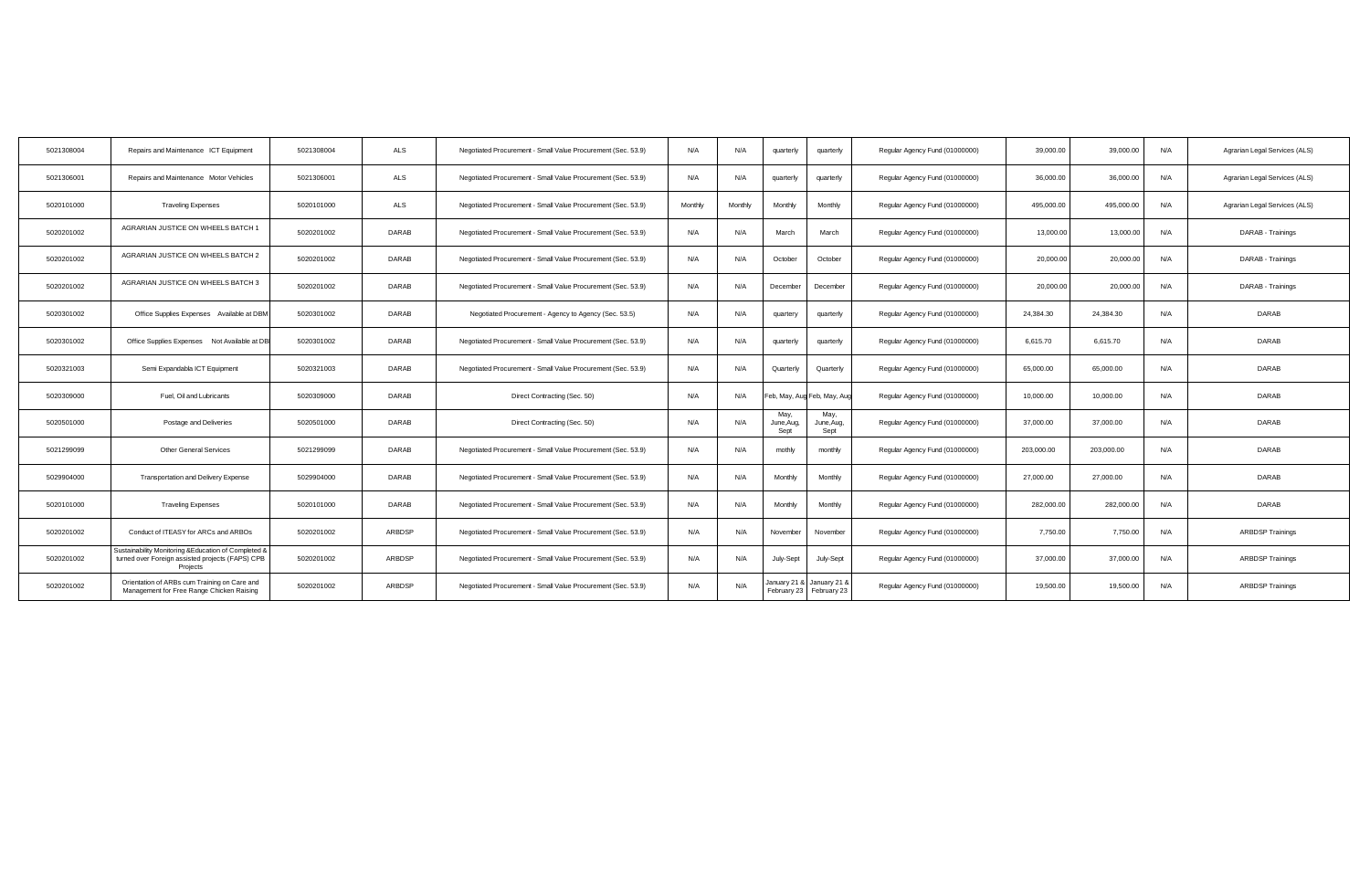| 5021308004 | Repairs and Maintenance ICT Equipment                                                                                | 5021308004 | <b>ALS</b>   | Negotiated Procurement - Small Value Procurement (Sec. 53.9) | N/A     | N/A     | quarterly                  | quarterly                               | Regular Agency Fund (01000000) | 39,000.00  | 39,000,00  | N/A | Agrarian Legal Services (ALS) |
|------------|----------------------------------------------------------------------------------------------------------------------|------------|--------------|--------------------------------------------------------------|---------|---------|----------------------------|-----------------------------------------|--------------------------------|------------|------------|-----|-------------------------------|
| 5021306001 | Repairs and Maintenance Motor Vehicles                                                                               | 5021306001 | ALS          | Negotiated Procurement - Small Value Procurement (Sec. 53.9) | N/A     | N/A     | quarterly                  | quarterly                               | Regular Agency Fund (01000000) | 36,000.00  | 36,000.00  | N/A | Agrarian Legal Services (ALS) |
| 5020101000 | <b>Traveling Expenses</b>                                                                                            | 5020101000 | ALS          | Negotiated Procurement - Small Value Procurement (Sec. 53.9) | Monthly | Monthly | Monthly                    | Monthly                                 | Regular Agency Fund (01000000) | 495,000.00 | 495,000.00 | N/A | Agrarian Legal Services (ALS) |
| 5020201002 | AGRARIAN JUSTICE ON WHEELS BATCH 1                                                                                   | 5020201002 | DARAB        | Negotiated Procurement - Small Value Procurement (Sec. 53.9) | N/A     | N/A     | March                      | March                                   | Regular Agency Fund (01000000) | 13,000.00  | 13,000.00  | N/A | DARAB - Trainings             |
| 5020201002 | AGRARIAN JUSTICE ON WHEELS BATCH 2                                                                                   | 5020201002 | DARAB        | Negotiated Procurement - Small Value Procurement (Sec. 53.9) | N/A     | N/A     | October                    | October                                 | Regular Agency Fund (01000000) | 20,000.00  | 20,000.00  | N/A | DARAB - Trainings             |
| 5020201002 | AGRARIAN JUSTICE ON WHEELS BATCH 3                                                                                   | 5020201002 | <b>DARAB</b> | Negotiated Procurement - Small Value Procurement (Sec. 53.9) | N/A     | N/A     | December                   | December                                | Regular Agency Fund (01000000) | 20,000.00  | 20,000.00  | N/A | DARAB - Trainings             |
| 5020301002 | Office Supplies Expenses Available at DBM                                                                            | 5020301002 | <b>DARAB</b> | Negotiated Procurement - Agency to Agency (Sec. 53.5)        | N/A     | N/A     | quartery                   | quarterly                               | Regular Agency Fund (01000000) | 24,384.30  | 24.384.30  | N/A | <b>DARAB</b>                  |
| 5020301002 | Office Supplies Expenses Not Available at DB                                                                         | 5020301002 | <b>DARAB</b> | Negotiated Procurement - Small Value Procurement (Sec. 53.9) | N/A     | N/A     | quarterly                  | quarterly                               | Regular Agency Fund (01000000) | 6,615.70   | 6,615.70   | N/A | DARAB                         |
| 5020321003 | Semi Expandabla ICT Equipment                                                                                        | 5020321003 | <b>DARAB</b> | Negotiated Procurement - Small Value Procurement (Sec. 53.9) | N/A     | N/A     | Quarterly                  | Quarterly                               | Regular Agency Fund (01000000) | 65,000.00  | 65,000.00  | N/A | <b>DARAB</b>                  |
| 5020309000 | Fuel, Oil and Lubricants                                                                                             | 5020309000 | <b>DARAB</b> | Direct Contracting (Sec. 50)                                 | N/A     | N/A     |                            | eb, May, Aug Feb, May, Aug              | Regular Agency Fund (01000000) | 10,000.00  | 10,000.00  | N/A | DARAB                         |
| 5020501000 | Postage and Deliveries                                                                                               | 5020501000 | DARAB        | Direct Contracting (Sec. 50)                                 | N/A     | N/A     | May,<br>June, Aug,<br>Sept | May,<br>June, Aug,<br>Sept              | Regular Agency Fund (01000000) | 37,000.00  | 37,000.00  | N/A | DARAB                         |
| 5021299099 | <b>Other General Services</b>                                                                                        | 5021299099 | <b>DARAB</b> | Negotiated Procurement - Small Value Procurement (Sec. 53.9) | N/A     | N/A     | mothly                     | monthly                                 | Regular Agency Fund (01000000) | 203,000.00 | 203,000.00 | N/A | <b>DARAB</b>                  |
| 5029904000 | <b>Transportation and Delivery Expense</b>                                                                           | 5029904000 | <b>DARAB</b> | Negotiated Procurement - Small Value Procurement (Sec. 53.9) | N/A     | N/A     | Monthly                    | Monthly                                 | Regular Agency Fund (01000000) | 27,000.00  | 27,000.00  | N/A | <b>DARAB</b>                  |
| 5020101000 | <b>Traveling Expenses</b>                                                                                            | 5020101000 | DARAB        | Negotiated Procurement - Small Value Procurement (Sec. 53.9) | N/A     | N/A     | Monthly                    | Monthly                                 | Regular Agency Fund (01000000) | 282,000.00 | 282,000.00 | N/A | DARAB                         |
| 5020201002 | Conduct of ITEASY for ARCs and ARBOs                                                                                 | 5020201002 | ARBDSP       | Negotiated Procurement - Small Value Procurement (Sec. 53.9) | N/A     | N/A     | November                   | November                                | Regular Agency Fund (01000000) | 7,750.00   | 7,750.00   | N/A | <b>ARBDSP Trainings</b>       |
| 5020201002 | Sustainability Monitoring & Education of Completed &<br>turned over Foreign assisted projects (FAPS) CPB<br>Projects | 5020201002 | ARBDSP       | Negotiated Procurement - Small Value Procurement (Sec. 53.9) | N/A     | N/A     | July-Sept                  | July-Sept                               | Regular Agency Fund (01000000) | 37,000.00  | 37,000.00  | N/A | <b>ARBDSP Trainings</b>       |
| 5020201002 | Orientation of ARBs cum Training on Care and<br>Management for Free Range Chicken Raising                            | 5020201002 | ARBDSP       | Negotiated Procurement - Small Value Procurement (Sec. 53.9) | N/A     | N/A     | January 21 8               | January 21 &<br>February 23 February 23 | Regular Agency Fund (01000000) | 19,500.00  | 19,500.00  | N/A | <b>ARBDSP Trainings</b>       |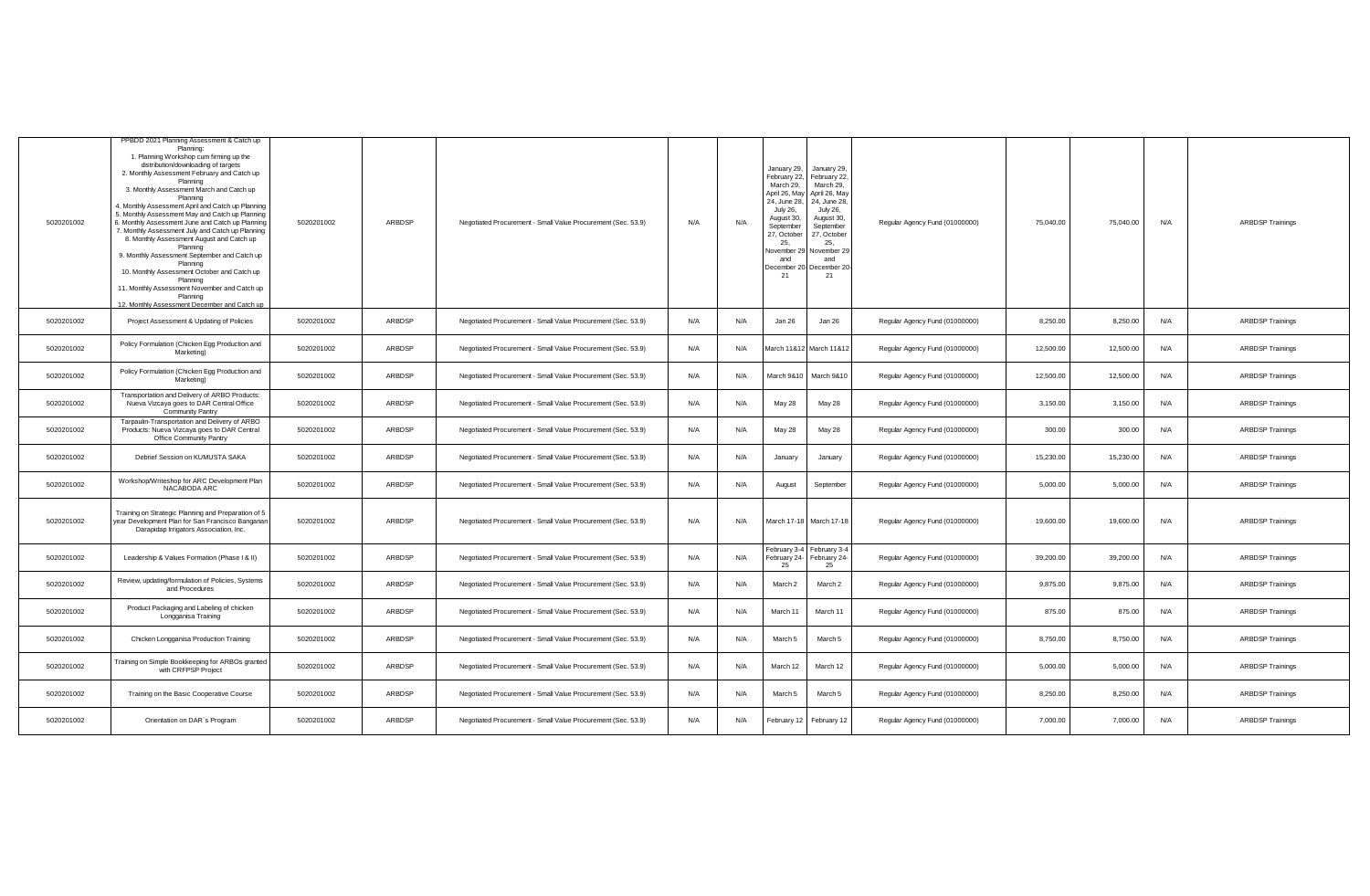| 5020201002 | PPBDD 2021 Planning Assessment & Catch up<br>Planning:<br>1. Planning Workshop cum firming up the<br>distribution/downloading of targets<br>2. Monthly Assessment February and Catch up<br>Planning<br>3. Monthly Assessment March and Catch up<br>Planning<br>4. Monthly Assessment April and Catch up Planning<br>5. Monthly Assessment May and Catch up Planning<br>. Monthly Assessment June and Catch up Planning<br>. Monthly Assessment July and Catch up Planning<br>8. Monthly Assessment August and Catch up<br>Planning<br>9. Monthly Assessment September and Catch up<br>Planning<br>10. Monthly Assessment October and Catch up<br>Planning<br>11. Monthly Assessment November and Catch up<br>Planning<br>12. Monthly Assessment December and Catch up | 5020201002 | ARBDSP        | Negotiated Procurement - Small Value Procurement (Sec. 53.9) | N/A | N/A | January 29,<br>February 22.<br>March 29,<br>April 26, May<br>24, June 28,<br><b>July 26,</b><br>August 30,<br>September<br>27, October<br>25.<br><b>November 29</b><br>and<br>21 | January 29,<br>February 22,<br>March 29,<br>April 26, May<br>24, June 28,<br>July 26,<br>August 30,<br>September<br>27, October<br>25,<br>November 29<br>and<br>December 20- December 20-<br>21 | Regular Agency Fund (01000000) | 75,040.00 | 75,040.00 | N/A | <b>ARBDSP Trainings</b> |
|------------|-----------------------------------------------------------------------------------------------------------------------------------------------------------------------------------------------------------------------------------------------------------------------------------------------------------------------------------------------------------------------------------------------------------------------------------------------------------------------------------------------------------------------------------------------------------------------------------------------------------------------------------------------------------------------------------------------------------------------------------------------------------------------|------------|---------------|--------------------------------------------------------------|-----|-----|----------------------------------------------------------------------------------------------------------------------------------------------------------------------------------|-------------------------------------------------------------------------------------------------------------------------------------------------------------------------------------------------|--------------------------------|-----------|-----------|-----|-------------------------|
| 5020201002 | Project Assessment & Updating of Policies                                                                                                                                                                                                                                                                                                                                                                                                                                                                                                                                                                                                                                                                                                                             | 5020201002 | ARBDSP        | Negotiated Procurement - Small Value Procurement (Sec. 53.9) | N/A | N/A | Jan 26                                                                                                                                                                           | Jan 26                                                                                                                                                                                          | Regular Agency Fund (01000000) | 8,250.00  | 8,250.00  | N/A | <b>ARBDSP Trainings</b> |
| 5020201002 | Policy Formulation (Chicken Egg Production and<br>Marketing)                                                                                                                                                                                                                                                                                                                                                                                                                                                                                                                                                                                                                                                                                                          | 5020201002 | ARBDSP        | Negotiated Procurement - Small Value Procurement (Sec. 53.9) | N/A | N/A |                                                                                                                                                                                  | March 11&12 March 11&12                                                                                                                                                                         | Regular Agency Fund (01000000) | 12,500.00 | 12,500.00 | N/A | <b>ARBDSP Trainings</b> |
| 5020201002 | Policy Formulation (Chicken Egg Production and<br>Marketing)                                                                                                                                                                                                                                                                                                                                                                                                                                                                                                                                                                                                                                                                                                          | 5020201002 | ARBDSP        | Negotiated Procurement - Small Value Procurement (Sec. 53.9) | N/A | N/A | March 9&10                                                                                                                                                                       | March 9&10                                                                                                                                                                                      | Regular Agency Fund (01000000) | 12,500.00 | 12,500.00 | N/A | <b>ARBDSP Trainings</b> |
| 5020201002 | Transportation and Delivery of ARBO Products:<br>Nueva Vizcaya goes to DAR Central Office<br>Community Pantry                                                                                                                                                                                                                                                                                                                                                                                                                                                                                                                                                                                                                                                         | 5020201002 | ARBDSP        | Negotiated Procurement - Small Value Procurement (Sec. 53.9) | N/A | N/A | May 28                                                                                                                                                                           | May 28                                                                                                                                                                                          | Regular Agency Fund (01000000) | 3,150.00  | 3,150.00  | N/A | <b>ARBDSP Trainings</b> |
| 5020201002 | Tarpaulin-Transportation and Delivery of ARBO<br>Products: Nueva Vizcaya goes to DAR Central<br>Office Community Pantry                                                                                                                                                                                                                                                                                                                                                                                                                                                                                                                                                                                                                                               | 5020201002 | ARBDSP        | Negotiated Procurement - Small Value Procurement (Sec. 53.9) | N/A | N/A | May 28                                                                                                                                                                           | May 28                                                                                                                                                                                          | Regular Agency Fund (01000000) | 300.00    | 300.00    | N/A | <b>ARBDSP Trainings</b> |
| 5020201002 | Debrief Session on KUMUSTA SAKA                                                                                                                                                                                                                                                                                                                                                                                                                                                                                                                                                                                                                                                                                                                                       | 5020201002 | ARBDSP        | Negotiated Procurement - Small Value Procurement (Sec. 53.9) | N/A | N/A | January                                                                                                                                                                          | January                                                                                                                                                                                         | Regular Agency Fund (01000000) | 15,230.00 | 15,230.00 | N/A | <b>ARBDSP Trainings</b> |
| 5020201002 | Workshop/Writeshop for ARC Development Plan<br>NACABODA ARC                                                                                                                                                                                                                                                                                                                                                                                                                                                                                                                                                                                                                                                                                                           | 5020201002 | ARBDSP        | Negotiated Procurement - Small Value Procurement (Sec. 53.9) | N/A | N/A | August                                                                                                                                                                           | September                                                                                                                                                                                       | Regular Agency Fund (01000000) | 5.000.00  | 5.000.00  | N/A | <b>ARBDSP Trainings</b> |
| 5020201002 | Training on Strategic Planning and Preparation of 5<br>year Development Plan for San Francisco Banganar<br>Darapidap Irrigators Association, Inc.                                                                                                                                                                                                                                                                                                                                                                                                                                                                                                                                                                                                                     | 5020201002 | ARBDSP        | Negotiated Procurement - Small Value Procurement (Sec. 53.9) | N/A | N/A |                                                                                                                                                                                  | March 17-18 March 17-18                                                                                                                                                                         | Regular Agency Fund (01000000) | 19,600.00 | 19,600.00 | N/A | <b>ARBDSP Trainings</b> |
| 5020201002 | Leadership & Values Formation (Phase I & II)                                                                                                                                                                                                                                                                                                                                                                                                                                                                                                                                                                                                                                                                                                                          | 5020201002 | <b>ARBDSP</b> | Negotiated Procurement - Small Value Procurement (Sec. 53.9) | N/A | N/A | 25                                                                                                                                                                               | February 3-4 February 3-4<br>February 24- February 24-<br>25                                                                                                                                    | Regular Agency Fund (01000000) | 39,200.00 | 39,200.00 | N/A | <b>ARBDSP Trainings</b> |
| 5020201002 | Review, updating/formulation of Policies, Systems<br>and Procedures                                                                                                                                                                                                                                                                                                                                                                                                                                                                                                                                                                                                                                                                                                   | 5020201002 | ARBDSP        | Negotiated Procurement - Small Value Procurement (Sec. 53.9) | N/A | N/A | March <sub>2</sub>                                                                                                                                                               | March 2                                                                                                                                                                                         | Regular Agency Fund (01000000) | 9,875.00  | 9,875.00  | N/A | <b>ARBDSP Trainings</b> |
| 5020201002 | Product Packaging and Labeling of chicken<br>Longganisa Training                                                                                                                                                                                                                                                                                                                                                                                                                                                                                                                                                                                                                                                                                                      | 5020201002 | ARBDSP        | Negotiated Procurement - Small Value Procurement (Sec. 53.9) | N/A | N/A | March 11                                                                                                                                                                         | March 11                                                                                                                                                                                        | Regular Agency Fund (01000000) | 875.00    | 875.00    | N/A | <b>ARBDSP Trainings</b> |
| 5020201002 | Chicken Longganisa Production Training                                                                                                                                                                                                                                                                                                                                                                                                                                                                                                                                                                                                                                                                                                                                | 5020201002 | ARBDSP        | Negotiated Procurement - Small Value Procurement (Sec. 53.9) | N/A | N/A | March 5                                                                                                                                                                          | March 5                                                                                                                                                                                         | Regular Agency Fund (01000000) | 8,750.00  | 8,750.00  | N/A | <b>ARBDSP Trainings</b> |
| 5020201002 | Fraining on Simple Bookkeeping for ARBOs granted<br>with CRFPSP Project                                                                                                                                                                                                                                                                                                                                                                                                                                                                                                                                                                                                                                                                                               | 5020201002 | ARBDSP        | Negotiated Procurement - Small Value Procurement (Sec. 53.9) | N/A | N/A | March 12                                                                                                                                                                         | March 12                                                                                                                                                                                        | Regular Agency Fund (01000000) | 5,000.00  | 5,000.00  | N/A | <b>ARBDSP Trainings</b> |
| 5020201002 | Training on the Basic Cooperative Course                                                                                                                                                                                                                                                                                                                                                                                                                                                                                                                                                                                                                                                                                                                              | 5020201002 | ARBDSP        | Negotiated Procurement - Small Value Procurement (Sec. 53.9) | N/A | N/A | March 5                                                                                                                                                                          | March 5                                                                                                                                                                                         | Regular Agency Fund (01000000) | 8,250.00  | 8,250.00  | N/A | <b>ARBDSP Trainings</b> |
| 5020201002 | Orientation on DAR's Program                                                                                                                                                                                                                                                                                                                                                                                                                                                                                                                                                                                                                                                                                                                                          | 5020201002 | ARBDSP        | Negotiated Procurement - Small Value Procurement (Sec. 53.9) | N/A | N/A |                                                                                                                                                                                  | February 12 February 12                                                                                                                                                                         | Regular Agency Fund (01000000) | 7,000.00  | 7,000.00  | N/A | <b>ARBDSP Trainings</b> |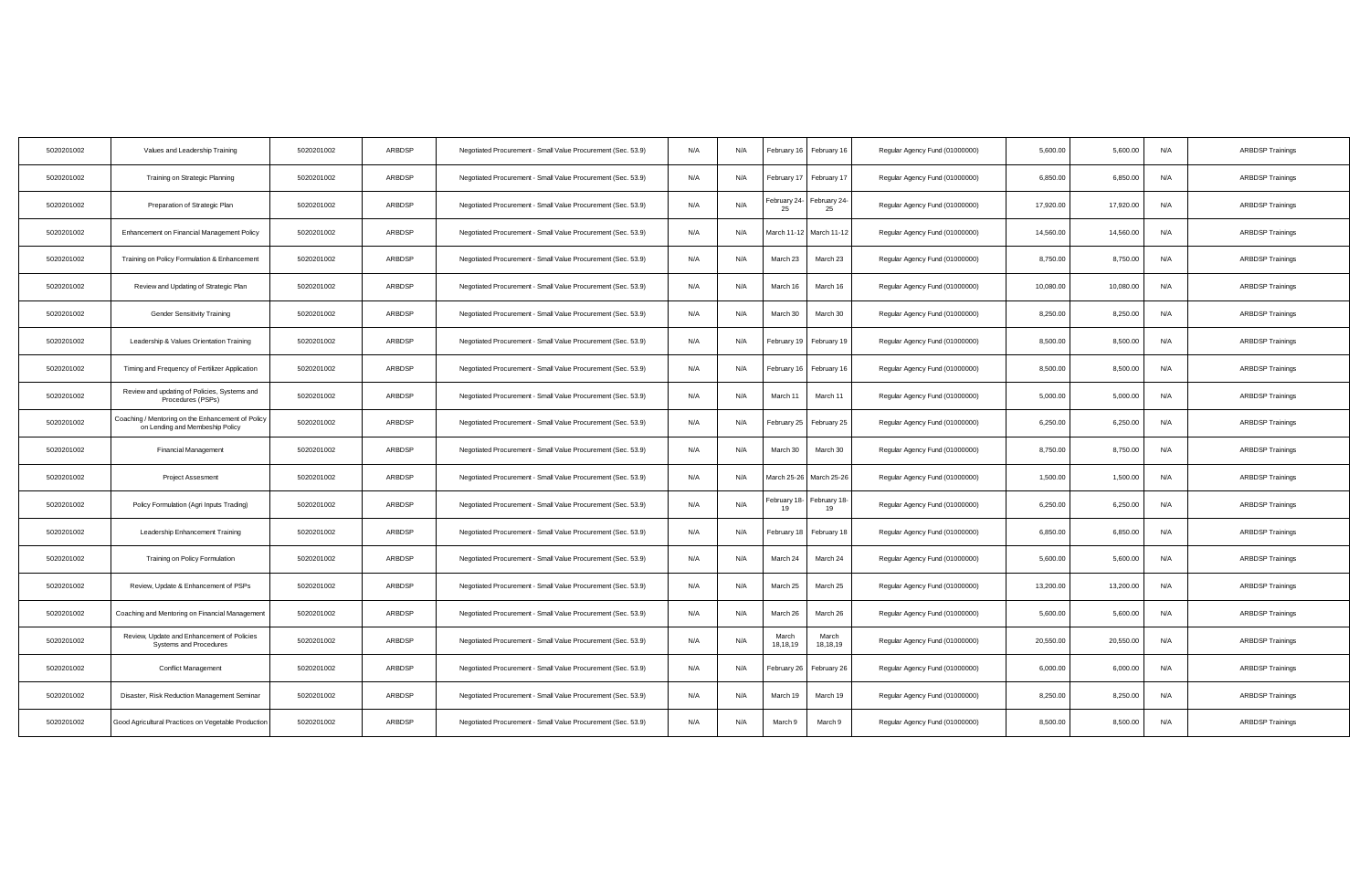| 5020201002 | Values and Leadership Training                                                       | 5020201002 | ARBDSP | Negotiated Procurement - Small Value Procurement (Sec. 53.9) | N/A | N/A | February 16       | February 16        | Regular Agency Fund (01000000) | 5,600.00  | 5,600.00  | N/A | <b>ARBDSP Trainings</b> |
|------------|--------------------------------------------------------------------------------------|------------|--------|--------------------------------------------------------------|-----|-----|-------------------|--------------------|--------------------------------|-----------|-----------|-----|-------------------------|
| 5020201002 | Training on Strategic Planning                                                       | 5020201002 | ARBDSP | Negotiated Procurement - Small Value Procurement (Sec. 53.9) | N/A | N/A | February 17       | February 17        | Regular Agency Fund (01000000) | 6,850.00  | 6,850.00  | N/A | <b>ARBDSP Trainings</b> |
| 5020201002 | Preparation of Strategic Plan                                                        | 5020201002 | ARBDSP | Negotiated Procurement - Small Value Procurement (Sec. 53.9) | N/A | N/A | ebruary 24-<br>25 | February 24-<br>25 | Regular Agency Fund (01000000) | 17,920.00 | 17,920.00 | N/A | <b>ARBDSP Trainings</b> |
| 5020201002 | Enhancement on Financial Management Policy                                           | 5020201002 | ARBDSP | Negotiated Procurement - Small Value Procurement (Sec. 53.9) | N/A | N/A | March 11-12       | March 11-12        | Regular Agency Fund (01000000) | 14,560.00 | 14,560.00 | N/A | <b>ARBDSP Trainings</b> |
| 5020201002 | Training on Policy Formulation & Enhancement                                         | 5020201002 | ARBDSP | Negotiated Procurement - Small Value Procurement (Sec. 53.9) | N/A | N/A | March 23          | March 23           | Regular Agency Fund (01000000) | 8,750.00  | 8,750.00  | N/A | <b>ARBDSP Trainings</b> |
| 5020201002 | Review and Updating of Strategic Plan                                                | 5020201002 | ARBDSP | Negotiated Procurement - Small Value Procurement (Sec. 53.9) | N/A | N/A | March 16          | March 16           | Regular Agency Fund (01000000) | 10,080.00 | 10,080.00 | N/A | <b>ARBDSP Trainings</b> |
| 5020201002 | <b>Gender Sensitivity Training</b>                                                   | 5020201002 | ARBDSP | Negotiated Procurement - Small Value Procurement (Sec. 53.9) | N/A | N/A | March 30          | March 30           | Regular Agency Fund (01000000) | 8,250.00  | 8,250.00  | N/A | <b>ARBDSP Trainings</b> |
| 5020201002 | Leadership & Values Orientation Training                                             | 5020201002 | ARBDSP | Negotiated Procurement - Small Value Procurement (Sec. 53.9) | N/A | N/A | February 19       | February 19        | Regular Agency Fund (01000000) | 8,500.00  | 8.500.00  | N/A | <b>ARBDSP Trainings</b> |
| 5020201002 | Timing and Frequency of Fertilizer Application                                       | 5020201002 | ARBDSP | Negotiated Procurement - Small Value Procurement (Sec. 53.9) | N/A | N/A | February 16       | February 16        | Regular Agency Fund (01000000) | 8,500.00  | 8,500.00  | N/A | <b>ARBDSP Trainings</b> |
| 5020201002 | Review and updating of Policies, Systems and<br>Procedures (PSPs)                    | 5020201002 | ARBDSP | Negotiated Procurement - Small Value Procurement (Sec. 53.9) | N/A | N/A | March 11          | March 11           | Regular Agency Fund (01000000) | 5,000.00  | 5,000.00  | N/A | <b>ARBDSP Trainings</b> |
| 5020201002 | Coaching / Mentoring on the Enhancement of Policy<br>on Lending and Membeship Policy | 5020201002 | ARBDSP | Negotiated Procurement - Small Value Procurement (Sec. 53.9) | N/A | N/A | February 25       | February 25        | Regular Agency Fund (01000000) | 6,250.00  | 6,250.00  | N/A | <b>ARBDSP Trainings</b> |
| 5020201002 | <b>Financial Management</b>                                                          | 5020201002 | ARBDSP | Negotiated Procurement - Small Value Procurement (Sec. 53.9) | N/A | N/A | March 30          | March 30           | Regular Agency Fund (01000000) | 8,750.00  | 8,750.00  | N/A | <b>ARBDSP Trainings</b> |
| 5020201002 | <b>Project Assesment</b>                                                             | 5020201002 | ARBDSP | Negotiated Procurement - Small Value Procurement (Sec. 53.9) | N/A | N/A | March 25-26       | March 25-26        | Regular Agency Fund (01000000) | 1,500.00  | 1,500.00  | N/A | <b>ARBDSP Trainings</b> |
| 5020201002 | Policy Formulation (Agri Inputs Trading)                                             | 5020201002 | ARBDSP | Negotiated Procurement - Small Value Procurement (Sec. 53.9) | N/A | N/A | ebruary 18        | February 18-       | Regular Agency Fund (01000000) | 6,250.00  | 6,250.00  | N/A | <b>ARBDSP Trainings</b> |
| 5020201002 | Leadership Enhancement Training                                                      | 5020201002 | ARBDSP | Negotiated Procurement - Small Value Procurement (Sec. 53.9) | N/A | N/A | February 18       | February 18        | Regular Agency Fund (01000000) | 6,850.00  | 6,850.00  | N/A | <b>ARBDSP Trainings</b> |
| 5020201002 | Training on Policy Formulation                                                       | 5020201002 | ARBDSP | Negotiated Procurement - Small Value Procurement (Sec. 53.9) | N/A | N/A | March 24          | March 24           | Regular Agency Fund (01000000) | 5,600.00  | 5,600.00  | N/A | <b>ARBDSP Trainings</b> |
| 5020201002 | Review, Update & Enhancement of PSPs                                                 | 5020201002 | ARBDSP | Negotiated Procurement - Small Value Procurement (Sec. 53.9) | N/A | N/A | March 25          | March 25           | Regular Agency Fund (01000000) | 13,200.00 | 13,200.00 | N/A | <b>ARBDSP Trainings</b> |
| 5020201002 | Coaching and Mentoring on Financial Management                                       | 5020201002 | ARBDSP | Negotiated Procurement - Small Value Procurement (Sec. 53.9) | N/A | N/A | March 26          | March 26           | Regular Agency Fund (01000000) | 5,600.00  | 5,600.00  | N/A | <b>ARBDSP Trainings</b> |
| 5020201002 | Review, Update and Enhancement of Policies<br>Systems and Procedures                 | 5020201002 | ARBDSP | Negotiated Procurement - Small Value Procurement (Sec. 53.9) | N/A | N/A | March<br>18,18,19 | March<br>18,18,19  | Regular Agency Fund (01000000) | 20,550.00 | 20,550.00 | N/A | <b>ARBDSP Trainings</b> |
| 5020201002 | Conflict Management                                                                  | 5020201002 | ARBDSP | Negotiated Procurement - Small Value Procurement (Sec. 53.9) | N/A | N/A | February 26       | February 26        | Regular Agency Fund (01000000) | 6,000.00  | 6,000.00  | N/A | <b>ARBDSP Trainings</b> |
| 5020201002 | Disaster, Risk Reduction Management Seminar                                          | 5020201002 | ARBDSP | Negotiated Procurement - Small Value Procurement (Sec. 53.9) | N/A | N/A | March 19          | March 19           | Regular Agency Fund (01000000) | 8,250.00  | 8,250.00  | N/A | <b>ARBDSP Trainings</b> |
| 5020201002 | Good Agricultural Practices on Vegetable Production                                  | 5020201002 | ARBDSP | Negotiated Procurement - Small Value Procurement (Sec. 53.9) | N/A | N/A | March 9           | March 9            | Regular Agency Fund (01000000) | 8,500.00  | 8,500.00  | N/A | <b>ARBDSP Trainings</b> |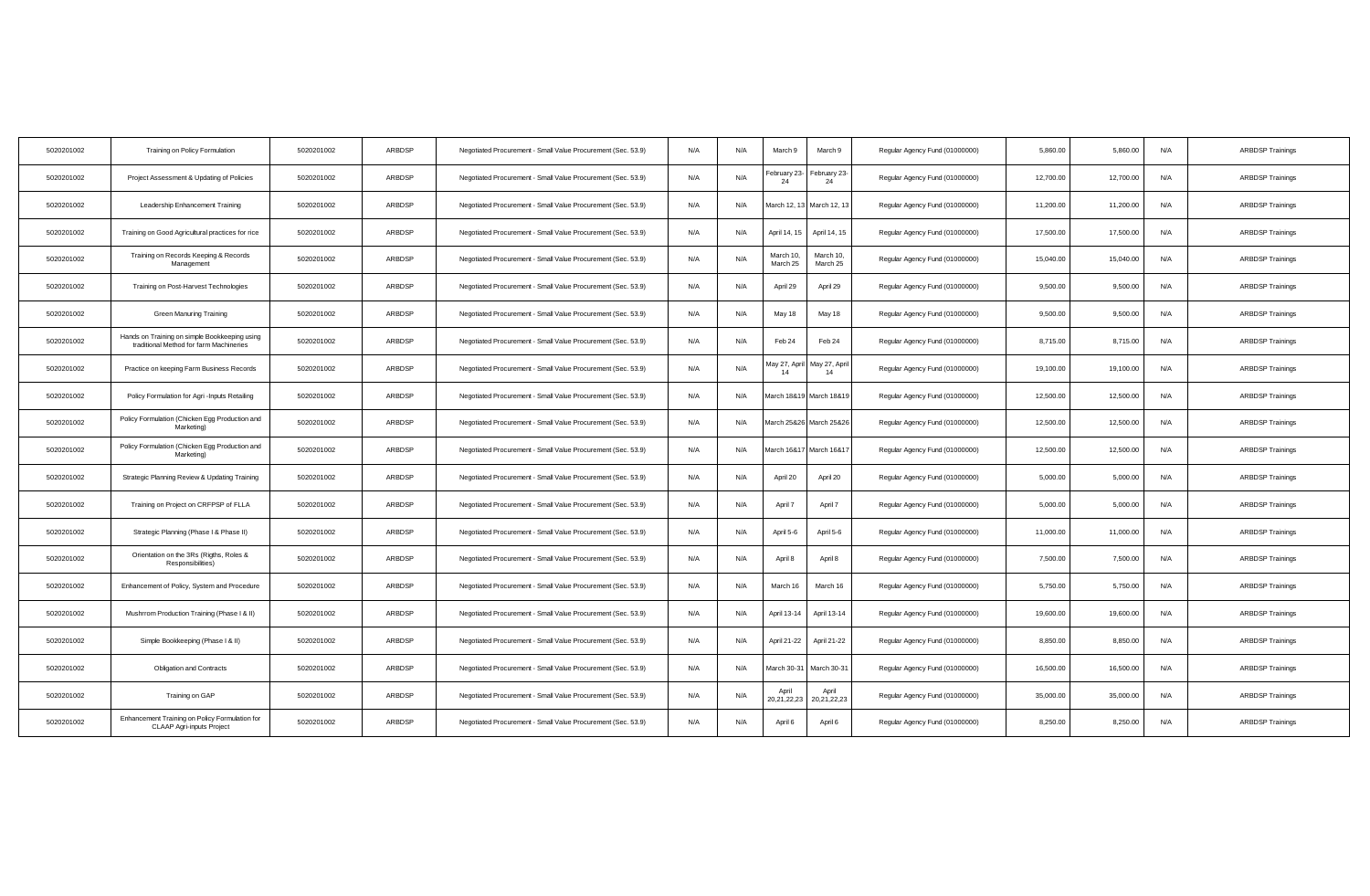| 5020201002 | Training on Policy Formulation                                                           | 5020201002 | ARBDSP | Negotiated Procurement - Small Value Procurement (Sec. 53.9) | N/A | N/A | March 9               | March 9               | Regular Agency Fund (01000000) | 5,860.00  | 5,860.00  | N/A | <b>ARBDSP Trainings</b> |
|------------|------------------------------------------------------------------------------------------|------------|--------|--------------------------------------------------------------|-----|-----|-----------------------|-----------------------|--------------------------------|-----------|-----------|-----|-------------------------|
| 5020201002 | Project Assessment & Updating of Policies                                                | 5020201002 | ARBDSP | Negotiated Procurement - Small Value Procurement (Sec. 53.9) | N/A | N/A | ebruary 23-<br>24     | February 23-<br>24    | Regular Agency Fund (01000000) | 12,700.00 | 12,700.00 | N/A | <b>ARBDSP Trainings</b> |
| 5020201002 | Leadership Enhancement Training                                                          | 5020201002 | ARBDSP | Negotiated Procurement - Small Value Procurement (Sec. 53.9) | N/A | N/A | March 12, 13          | March 12, 13          | Regular Agency Fund (01000000) | 11,200.00 | 11,200.00 | N/A | <b>ARBDSP Trainings</b> |
| 5020201002 | Training on Good Agricultural practices for rice                                         | 5020201002 | ARBDSP | Negotiated Procurement - Small Value Procurement (Sec. 53.9) | N/A | N/A | April 14, 15          | April 14, 15          | Regular Agency Fund (01000000) | 17,500.00 | 17,500.00 | N/A | <b>ARBDSP Trainings</b> |
| 5020201002 | Training on Records Keeping & Records<br>Management                                      | 5020201002 | ARBDSP | Negotiated Procurement - Small Value Procurement (Sec. 53.9) | N/A | N/A | March 10.<br>March 25 | March 10.<br>March 25 | Regular Agency Fund (01000000) | 15,040.00 | 15,040.00 | N/A | <b>ARBDSP Trainings</b> |
| 5020201002 | Training on Post-Harvest Technologies                                                    | 5020201002 | ARBDSP | Negotiated Procurement - Small Value Procurement (Sec. 53.9) | N/A | N/A | April 29              | April 29              | Regular Agency Fund (01000000) | 9,500.00  | 9,500.0   | N/A | <b>ARBDSP Trainings</b> |
| 5020201002 | <b>Green Manuring Training</b>                                                           | 5020201002 | ARBDSP | Negotiated Procurement - Small Value Procurement (Sec. 53.9) | N/A | N/A | May 18                | May 18                | Regular Agency Fund (01000000) | 9,500.00  | 9,500.00  | N/A | <b>ARBDSP Trainings</b> |
| 5020201002 | Hands on Training on simple Bookkeeping using<br>traditional Method for farm Machineries | 5020201002 | ARBDSP | Negotiated Procurement - Small Value Procurement (Sec. 53.9) | N/A | N/A | Feb 24                | Feb 24                | Regular Agency Fund (01000000) | 8,715.00  | 8.715.00  | N/A | <b>ARBDSP Trainings</b> |
| 5020201002 | Practice on keeping Farm Business Records                                                | 5020201002 | ARBDSP | Negotiated Procurement - Small Value Procurement (Sec. 53.9) | N/A | N/A | May 27, April         | May 27, April<br>14   | Regular Agency Fund (01000000) | 19,100.00 | 19,100.00 | N/A | <b>ARBDSP Trainings</b> |
| 5020201002 | Policy Formulation for Agri - Inputs Retailing                                           | 5020201002 | ARBDSP | Negotiated Procurement - Small Value Procurement (Sec. 53.9) | N/A | N/A | March 18&19           | March 18&19           | Regular Agency Fund (01000000) | 12,500.00 | 12,500.00 | N/A | <b>ARBDSP Trainings</b> |
| 5020201002 | Policy Formulation (Chicken Egg Production and<br>Marketing)                             | 5020201002 | ARBDSP | Negotiated Procurement - Small Value Procurement (Sec. 53.9) | N/A | N/A | March 25&26           | March 25&26           | Regular Agency Fund (01000000) | 12,500.00 | 12,500.00 | N/A | <b>ARBDSP Trainings</b> |
| 5020201002 | Policy Formulation (Chicken Egg Production and<br>Marketing)                             | 5020201002 | ARBDSP | Negotiated Procurement - Small Value Procurement (Sec. 53.9) | N/A | N/A | March 16&17           | March 16&17           | Regular Agency Fund (01000000) | 12,500.00 | 12,500.00 | N/A | <b>ARBDSP Trainings</b> |
| 5020201002 | Strategic Planning Review & Updating Training                                            | 5020201002 | ARBDSP | Negotiated Procurement - Small Value Procurement (Sec. 53.9) | N/A | N/A | April 20              | April 20              | Regular Agency Fund (01000000) | 5,000.00  | 5.000.00  | N/A | <b>ARBDSP Trainings</b> |
| 5020201002 | Training on Project on CRFPSP of FLLA                                                    | 5020201002 | ARBDSP | Negotiated Procurement - Small Value Procurement (Sec. 53.9) | N/A | N/A | April 7               | April 7               | Regular Agency Fund (01000000) | 5,000.00  | 5,000.00  | N/A | <b>ARBDSP Trainings</b> |
| 5020201002 | Strategic Planning (Phase I & Phase II)                                                  | 5020201002 | ARBDSP | Negotiated Procurement - Small Value Procurement (Sec. 53.9) | N/A | N/A | April 5-6             | April 5-6             | Regular Agency Fund (01000000) | 11,000.00 | 11,000.00 | N/A | <b>ARBDSP Trainings</b> |
| 5020201002 | Orientation on the 3Rs (Rigths, Roles &<br>Responsibilities)                             | 5020201002 | ARBDSP | Negotiated Procurement - Small Value Procurement (Sec. 53.9) | N/A | N/A | April 8               | April 8               | Regular Agency Fund (01000000) | 7,500.00  | 7,500.00  | N/A | <b>ARBDSP Trainings</b> |
| 5020201002 | Enhancement of Policy, System and Procedure                                              | 5020201002 | ARBDSP | Negotiated Procurement - Small Value Procurement (Sec. 53.9) | N/A | N/A | March 16              | March 16              | Regular Agency Fund (01000000) | 5,750.00  | 5,750.00  | N/A | <b>ARBDSP Trainings</b> |
| 5020201002 | Mushrrom Production Training (Phase I & II)                                              | 5020201002 | ARBDSP | Negotiated Procurement - Small Value Procurement (Sec. 53.9) | N/A | N/A | April 13-14           | April 13-14           | Regular Agency Fund (01000000) | 19,600.00 | 19,600.00 | N/A | <b>ARBDSP Trainings</b> |
| 5020201002 | Simple Bookkeeping (Phase I & II)                                                        | 5020201002 | ARBDSP | Negotiated Procurement - Small Value Procurement (Sec. 53.9) | N/A | N/A | April 21-22           | April 21-22           | Regular Agency Fund (01000000) | 8,850.00  | 8,850.00  | N/A | <b>ARBDSP Trainings</b> |
| 5020201002 | <b>Obligation and Contracts</b>                                                          | 5020201002 | ARBDSP | Negotiated Procurement - Small Value Procurement (Sec. 53.9) | N/A | N/A | March 30-31           | March 30-31           | Regular Agency Fund (01000000) | 16,500.00 | 16,500.00 | N/A | <b>ARBDSP Trainings</b> |
| 5020201002 | Training on GAP                                                                          | 5020201002 | ARBDSP | Negotiated Procurement - Small Value Procurement (Sec. 53.9) | N/A | N/A | April<br>20,21,22,23  | April<br>20,21,22,23  | Regular Agency Fund (01000000) | 35,000.00 | 35,000.00 | N/A | <b>ARBDSP Trainings</b> |
| 5020201002 | Enhancement Training on Policy Formulation for<br>CLAAP Agri-inputs Project              | 5020201002 | ARBDSP | Negotiated Procurement - Small Value Procurement (Sec. 53.9) | N/A | N/A | April 6               | April 6               | Regular Agency Fund (01000000) | 8,250.00  | 8,250.00  | N/A | <b>ARBDSP Trainings</b> |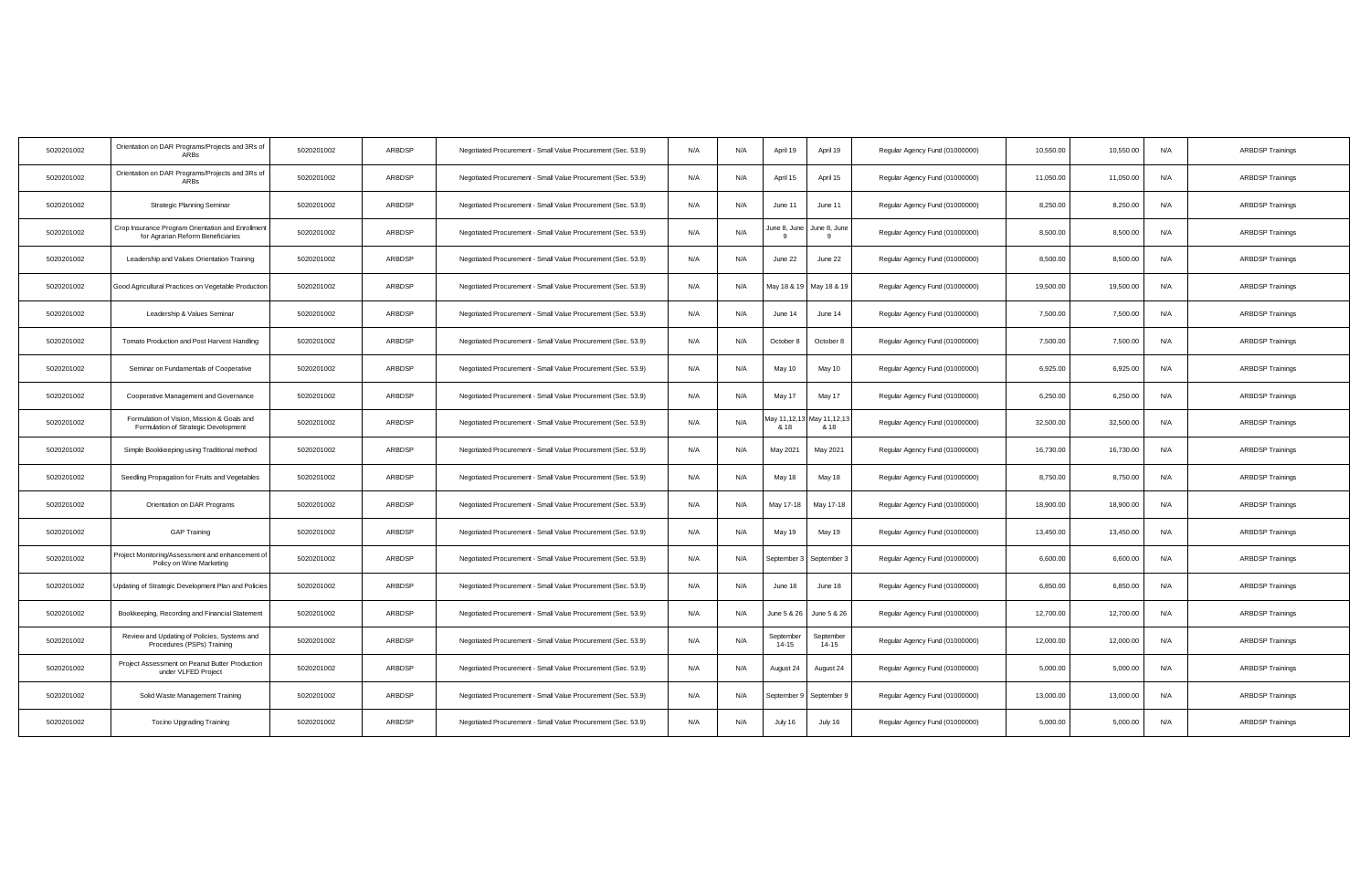| 5020201002 | Orientation on DAR Programs/Projects and 3Rs of<br><b>ARBs</b>                         | 5020201002 | ARBDSP | Negotiated Procurement - Small Value Procurement (Sec. 53.9) | N/A | N/A | April 19               | April 19             | Regular Agency Fund (01000000) | 10,550.00 | 10,550.00 | N/A | <b>ARBDSP Trainings</b> |
|------------|----------------------------------------------------------------------------------------|------------|--------|--------------------------------------------------------------|-----|-----|------------------------|----------------------|--------------------------------|-----------|-----------|-----|-------------------------|
| 5020201002 | Orientation on DAR Programs/Projects and 3Rs of<br>ARBs                                | 5020201002 | ARBDSP | Negotiated Procurement - Small Value Procurement (Sec. 53.9) | N/A | N/A | April 15               | April 15             | Regular Agency Fund (01000000) | 11,050.00 | 11,050.00 | N/A | <b>ARBDSP Trainings</b> |
| 5020201002 | Strategic Planning Seminar                                                             | 5020201002 | ARBDSP | Negotiated Procurement - Small Value Procurement (Sec. 53.9) | N/A | N/A | June 11                | June 11              | Regular Agency Fund (01000000) | 8,250.00  | 8,250.00  | N/A | <b>ARBDSP Trainings</b> |
| 5020201002 | Crop Insurance Program Orientation and Enrollment<br>for Agrarian Reform Beneficiaries | 5020201002 | ARBDSP | Negotiated Procurement - Small Value Procurement (Sec. 53.9) | N/A | N/A | June 8, June           | June 8, June         | Regular Agency Fund (01000000) | 8,500.00  | 8,500.00  | N/A | <b>ARBDSP Trainings</b> |
| 5020201002 | Leadership and Values Orientation Training                                             | 5020201002 | ARBDSP | Negotiated Procurement - Small Value Procurement (Sec. 53.9) | N/A | N/A | June 22                | June 22              | Regular Agency Fund (01000000) | 8,500.00  | 8,500.00  | N/A | <b>ARBDSP Trainings</b> |
| 5020201002 | Good Agricultural Practices on Vegetable Production                                    | 5020201002 | ARBDSP | Negotiated Procurement - Small Value Procurement (Sec. 53.9) | N/A | N/A | May 18 & 19            | May 18 & 19          | Regular Agency Fund (01000000) | 19,500.00 | 19,500.00 | N/A | <b>ARBDSP Trainings</b> |
| 5020201002 | Leadership & Values Seminar                                                            | 5020201002 | ARBDSP | Negotiated Procurement - Small Value Procurement (Sec. 53.9) | N/A | N/A | June 14                | June 14              | Regular Agency Fund (01000000) | 7,500.00  | 7,500.00  | N/A | <b>ARBDSP Trainings</b> |
| 5020201002 | Tomato Production and Post Harvest Handling                                            | 5020201002 | ARBDSP | Negotiated Procurement - Small Value Procurement (Sec. 53.9) | N/A | N/A | October 8              | October 8            | Regular Agency Fund (01000000) | 7,500.00  | 7,500.00  | N/A | <b>ARBDSP Trainings</b> |
| 5020201002 | Seminar on Fundamentals of Cooperative                                                 | 5020201002 | ARBDSP | Negotiated Procurement - Small Value Procurement (Sec. 53.9) | N/A | N/A | May 10                 | May 10               | Regular Agency Fund (01000000) | 6,925.00  | 6,925.00  | N/A | <b>ARBDSP Trainings</b> |
| 5020201002 | Cooperative Management and Governance                                                  | 5020201002 | ARBDSP | Negotiated Procurement - Small Value Procurement (Sec. 53.9) | N/A | N/A | May 17                 | May 17               | Regular Agency Fund (01000000) | 6,250.00  | 6,250.00  | N/A | <b>ARBDSP Trainings</b> |
| 5020201002 | Formulation of Vision, Mission & Goals and<br>Formulation of Strategic Development     | 5020201002 | ARBDSP | Negotiated Procurement - Small Value Procurement (Sec. 53.9) | N/A | N/A | May 11,12,13<br>& 18   | May 11,12,13<br>& 18 | Regular Agency Fund (01000000) | 32,500.00 | 32,500.00 | N/A | <b>ARBDSP Trainings</b> |
| 5020201002 | Simple Bookkeeping using Traditional method                                            | 5020201002 | ARBDSP | Negotiated Procurement - Small Value Procurement (Sec. 53.9) | N/A | N/A | May 2021               | May 2021             | Regular Agency Fund (01000000) | 16,730.00 | 16,730.00 | N/A | <b>ARBDSP Trainings</b> |
| 5020201002 | Seedling Propagation for Fruits and Vegetables                                         | 5020201002 | ARBDSP | Negotiated Procurement - Small Value Procurement (Sec. 53.9) | N/A | N/A | May 18                 | May 18               | Regular Agency Fund (01000000) | 8,750.00  | 8,750.00  | N/A | <b>ARBDSP Trainings</b> |
| 5020201002 | Orientation on DAR Programs                                                            | 5020201002 | ARBDSP | Negotiated Procurement - Small Value Procurement (Sec. 53.9) | N/A | N/A | May 17-18              | May 17-18            | Regular Agency Fund (01000000) | 18,900.00 | 18,900.00 | N/A | <b>ARBDSP Trainings</b> |
| 5020201002 | <b>GAP Training</b>                                                                    | 5020201002 | ARBDSP | Negotiated Procurement - Small Value Procurement (Sec. 53.9) | N/A | N/A | May 19                 | May 19               | Regular Agency Fund (01000000) | 13,450.00 | 13,450.00 | N/A | <b>ARBDSP Trainings</b> |
| 5020201002 | Project Monitoring/Assessment and enhancement of<br>Policy on Wine Marketing           | 5020201002 | ARBDSP | Negotiated Procurement - Small Value Procurement (Sec. 53.9) | N/A | N/A | September 3            | September 3          | Regular Agency Fund (01000000) | 6,600.00  | 6,600.00  | N/A | <b>ARBDSP Trainings</b> |
| 5020201002 | Updating of Strategic Development Plan and Policies                                    | 5020201002 | ARBDSP | Negotiated Procurement - Small Value Procurement (Sec. 53.9) | N/A | N/A | June 18                | June 18              | Regular Agency Fund (01000000) | 6,850.00  | 6,850.00  | N/A | <b>ARBDSP Trainings</b> |
| 5020201002 | Bookkeeping, Recording and Financial Statement                                         | 5020201002 | ARBDSP | Negotiated Procurement - Small Value Procurement (Sec. 53.9) | N/A | N/A | June 5 & 26            | June 5 & 26          | Regular Agency Fund (01000000) | 12,700.00 | 12,700.00 | N/A | <b>ARBDSP Trainings</b> |
| 5020201002 | Review and Updating of Policies, Systems and<br>Procedures (PSPs) Training             | 5020201002 | ARBDSP | Negotiated Procurement - Small Value Procurement (Sec. 53.9) | N/A | N/A | September<br>$14 - 15$ | September<br>14-15   | Regular Agency Fund (01000000) | 12,000.00 | 12,000.00 | N/A | <b>ARBDSP Trainings</b> |
| 5020201002 | Project Assessment on Peanut Butter Production<br>under VLFED Project                  | 5020201002 | ARBDSP | Negotiated Procurement - Small Value Procurement (Sec. 53.9) | N/A | N/A | August 24              | August 24            | Regular Agency Fund (01000000) | 5,000.00  | 5,000.00  | N/A | <b>ARBDSP Trainings</b> |
| 5020201002 | Solid Waste Management Training                                                        | 5020201002 | ARBDSP | Negotiated Procurement - Small Value Procurement (Sec. 53.9) | N/A | N/A | September!             | September 9          | Regular Agency Fund (01000000) | 13,000.00 | 13,000.00 | N/A | <b>ARBDSP Trainings</b> |
| 5020201002 | <b>Tocino Upgrading Training</b>                                                       | 5020201002 | ARBDSP | Negotiated Procurement - Small Value Procurement (Sec. 53.9) | N/A | N/A | July 16                | July 16              | Regular Agency Fund (01000000) | 5,000.00  | 5,000.00  | N/A | <b>ARBDSP Trainings</b> |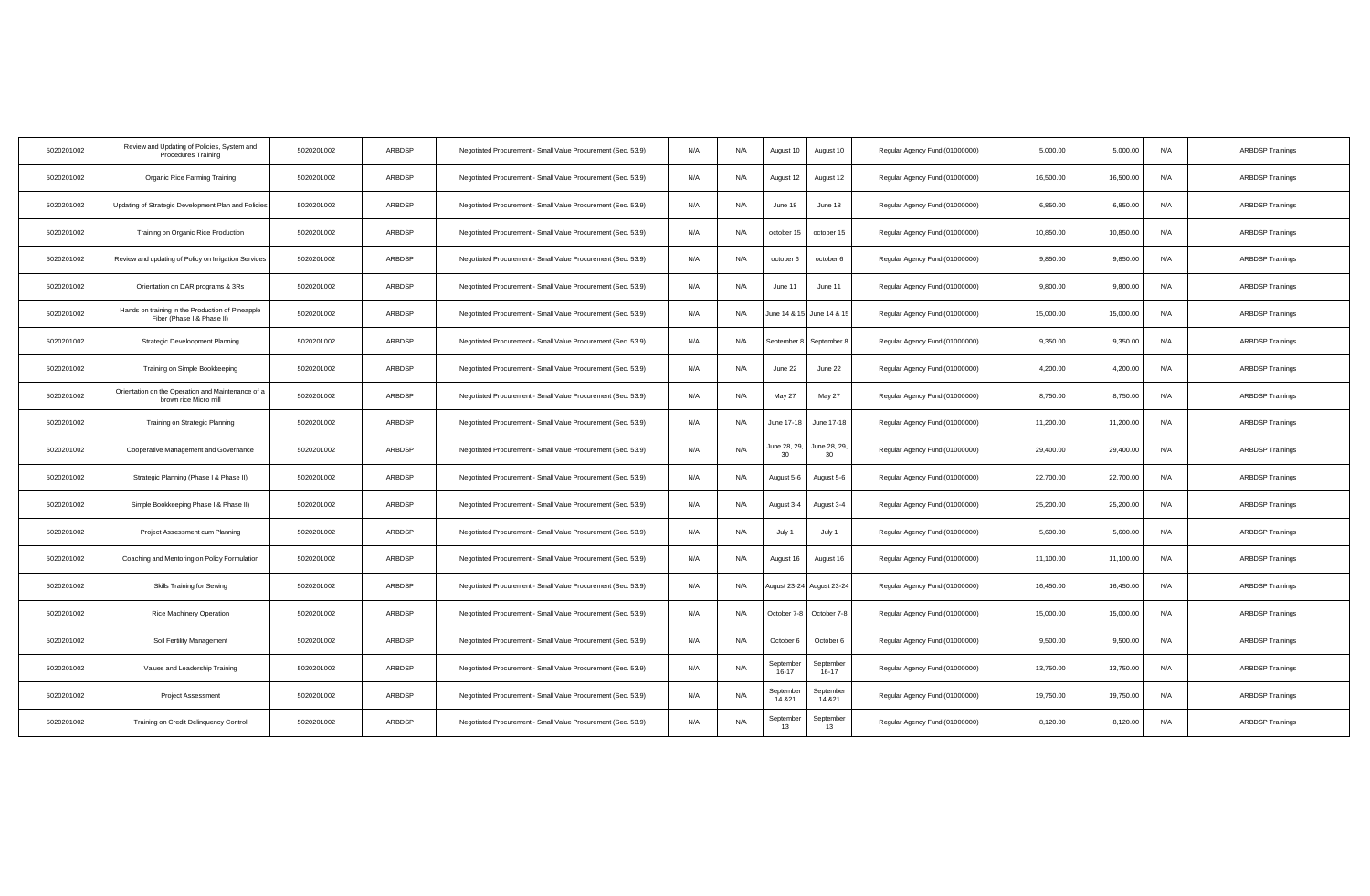| 5020201002 | Review and Updating of Policies, System and<br><b>Procedures Training</b>      | 5020201002 | ARBDSP | Negotiated Procurement - Small Value Procurement (Sec. 53.9) | N/A | N/A<br>August 10                    | August 10            | Regular Agency Fund (01000000) | 5,000.00  | 5,000.00  | N/A | <b>ARBDSP Trainings</b> |
|------------|--------------------------------------------------------------------------------|------------|--------|--------------------------------------------------------------|-----|-------------------------------------|----------------------|--------------------------------|-----------|-----------|-----|-------------------------|
| 5020201002 | Organic Rice Farming Training                                                  | 5020201002 | ARBDSP | Negotiated Procurement - Small Value Procurement (Sec. 53.9) | N/A | August 12<br>N/A                    | August 12            | Regular Agency Fund (01000000) | 16,500.00 | 16,500.00 | N/A | <b>ARBDSP Trainings</b> |
| 5020201002 | Updating of Strategic Development Plan and Policies                            | 5020201002 | ARBDSP | Negotiated Procurement - Small Value Procurement (Sec. 53.9) | N/A | N/A<br>June 18                      | June 18              | Regular Agency Fund (01000000) | 6,850.00  | 6,850.00  | N/A | <b>ARBDSP Trainings</b> |
| 5020201002 | Training on Organic Rice Production                                            | 5020201002 | ARBDSP | Negotiated Procurement - Small Value Procurement (Sec. 53.9) | N/A | N/A<br>october 15                   | october 15           | Regular Agency Fund (01000000) | 10,850.00 | 10,850.00 | N/A | <b>ARBDSP Trainings</b> |
| 5020201002 | Review and updating of Policy on Irrigation Services                           | 5020201002 | ARBDSP | Negotiated Procurement - Small Value Procurement (Sec. 53.9) | N/A | N/A<br>october 6                    | october 6            | Regular Agency Fund (01000000) | 9,850.00  | 9,850.00  | N/A | <b>ARBDSP Trainings</b> |
| 5020201002 | Orientation on DAR programs & 3Rs                                              | 5020201002 | ARBDSP | Negotiated Procurement - Small Value Procurement (Sec. 53.9) | N/A | N/A<br>June 11                      | June 11              | Regular Agency Fund (01000000) | 9,800.00  | 9,800.00  | N/A | <b>ARBDSP Trainings</b> |
| 5020201002 | Hands on training in the Production of Pineapple<br>Fiber (Phase I & Phase II) | 5020201002 | ARBDSP | Negotiated Procurement - Small Value Procurement (Sec. 53.9) | N/A | N/A<br>June 14 & 15                 | June 14 & 15         | Regular Agency Fund (01000000) | 15,000.00 | 15,000.00 | N/A | <b>ARBDSP Trainings</b> |
| 5020201002 | Strategic Develoopment Planning                                                | 5020201002 | ARBDSP | Negotiated Procurement - Small Value Procurement (Sec. 53.9) | N/A | N/A<br>September 8                  | September 8          | Regular Agency Fund (01000000) | 9.350.00  | 9.350.00  | N/A | <b>ARBDSP Trainings</b> |
| 5020201002 | Training on Simple Bookkeeping                                                 | 5020201002 | ARBDSP | Negotiated Procurement - Small Value Procurement (Sec. 53.9) | N/A | N/A<br>June 22                      | June 22              | Regular Agency Fund (01000000) | 4,200.00  | 4,200.00  | N/A | <b>ARBDSP Trainings</b> |
| 5020201002 | Orientation on the Operation and Maintenance of a<br>brown rice Micro mill     | 5020201002 | ARBDSP | Negotiated Procurement - Small Value Procurement (Sec. 53.9) | N/A | N/A<br>May 27                       | May 27               | Regular Agency Fund (01000000) | 8,750.00  | 8,750.00  | N/A | <b>ARBDSP Trainings</b> |
| 5020201002 | Training on Strategic Planning                                                 | 5020201002 | ARBDSP | Negotiated Procurement - Small Value Procurement (Sec. 53.9) | N/A | N/A<br>June 17-18                   | June 17-18           | Regular Agency Fund (01000000) | 11,200.00 | 11,200.00 | N/A | <b>ARBDSP Trainings</b> |
| 5020201002 | Cooperative Management and Governance                                          | 5020201002 | ARBDSP | Negotiated Procurement - Small Value Procurement (Sec. 53.9) | N/A | June 28, 29,<br>N/A<br>30           | June 28, 29,<br>30   | Regular Agency Fund (01000000) | 29,400.00 | 29,400.00 | N/A | <b>ARBDSP Trainings</b> |
| 5020201002 | Strategic Planning (Phase I & Phase II)                                        | 5020201002 | ARBDSP | Negotiated Procurement - Small Value Procurement (Sec. 53.9) | N/A | N/A<br>August 5-6                   | August 5-6           | Regular Agency Fund (01000000) | 22,700.00 | 22,700.00 | N/A | <b>ARBDSP Trainings</b> |
| 5020201002 | Simple Bookkeeping Phase I & Phase II)                                         | 5020201002 | ARBDSP | Negotiated Procurement - Small Value Procurement (Sec. 53.9) | N/A | N/A<br>August 3-4                   | August 3-4           | Regular Agency Fund (01000000) | 25,200.00 | 25,200.00 | N/A | <b>ARBDSP Trainings</b> |
| 5020201002 | Project Assessment cum Planning                                                | 5020201002 | ARBDSP | Negotiated Procurement - Small Value Procurement (Sec. 53.9) | N/A | N/A<br>July 1                       | July 1               | Regular Agency Fund (01000000) | 5,600.00  | 5,600.00  | N/A | <b>ARBDSP Trainings</b> |
| 5020201002 | Coaching and Mentoring on Policy Formulation                                   | 5020201002 | ARBDSP | Negotiated Procurement - Small Value Procurement (Sec. 53.9) | N/A | N/A<br>August 16                    | August 16            | Regular Agency Fund (01000000) | 11,100.00 | 11,100.00 | N/A | <b>ARBDSP Trainings</b> |
| 5020201002 | Skills Training for Sewing                                                     | 5020201002 | ARBDSP | Negotiated Procurement - Small Value Procurement (Sec. 53.9) | N/A | N/A<br>ugust 23-24                  | August 23-24         | Regular Agency Fund (01000000) | 16,450.00 | 16,450.00 | N/A | <b>ARBDSP Trainings</b> |
| 5020201002 | Rice Machinery Operation                                                       | 5020201002 | ARBDSP | Negotiated Procurement - Small Value Procurement (Sec. 53.9) | N/A | N/A<br>October 7-8                  | October 7-8          | Regular Agency Fund (01000000) | 15,000.00 | 15,000.00 | N/A | <b>ARBDSP Trainings</b> |
| 5020201002 | Soil Fertility Management                                                      | 5020201002 | ARBDSP | Negotiated Procurement - Small Value Procurement (Sec. 53.9) | N/A | N/A<br>October 6                    | October 6            | Regular Agency Fund (01000000) | 9,500.00  | 9,500.00  | N/A | <b>ARBDSP Trainings</b> |
| 5020201002 | Values and Leadership Training                                                 | 5020201002 | ARBDSP | Negotiated Procurement - Small Value Procurement (Sec. 53.9) | N/A | September<br>N/A<br>$16 - 17$       | September<br>16-17   | Regular Agency Fund (01000000) | 13,750.00 | 13,750.00 | N/A | <b>ARBDSP Trainings</b> |
| 5020201002 | <b>Project Assessment</b>                                                      | 5020201002 | ARBDSP | Negotiated Procurement - Small Value Procurement (Sec. 53.9) | N/A | September<br>N/A<br>14 & 21         | September<br>14 & 21 | Regular Agency Fund (01000000) | 19,750.00 | 19,750.00 | N/A | <b>ARBDSP Trainings</b> |
| 5020201002 | Training on Credit Delinquency Control                                         | 5020201002 | ARBDSP | Negotiated Procurement - Small Value Procurement (Sec. 53.9) | N/A | September<br>N/A<br>13 <sup>1</sup> | September<br>13      | Regular Agency Fund (01000000) | 8,120.00  | 8,120.00  | N/A | <b>ARBDSP Trainings</b> |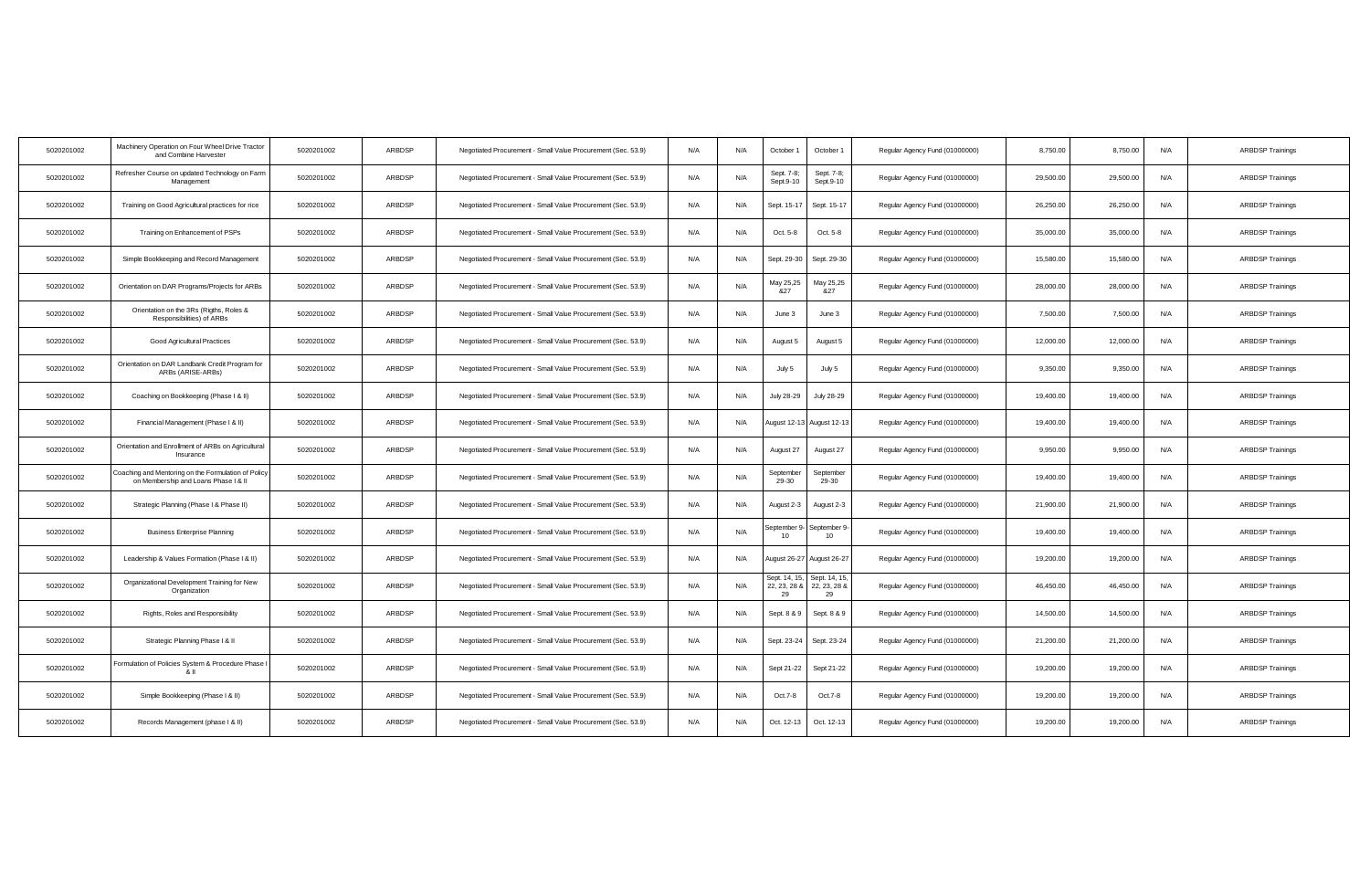| 5020201002 | Machinery Operation on Four Wheel Drive Tractor<br>and Combine Harvester                    | 5020201002 | ARBDSP | Negotiated Procurement - Small Value Procurement (Sec. 53.9) | N/A | N/A | October 1                           | October 1                         | Regular Agency Fund (01000000) | 8,750.00  | 8,750.00  | N/A | <b>ARBDSP Trainings</b> |
|------------|---------------------------------------------------------------------------------------------|------------|--------|--------------------------------------------------------------|-----|-----|-------------------------------------|-----------------------------------|--------------------------------|-----------|-----------|-----|-------------------------|
| 5020201002 | Refresher Course on updated Technology on Farm<br>Management                                | 5020201002 | ARBDSP | Negotiated Procurement - Small Value Procurement (Sec. 53.9) | N/A | N/A | Sept. 7-8;<br>Sept.9-10             | Sept. 7-8;<br>Sept.9-10           | Regular Agency Fund (01000000) | 29,500.00 | 29,500.00 | N/A | <b>ARBDSP Trainings</b> |
| 5020201002 | Training on Good Agricultural practices for rice                                            | 5020201002 | ARBDSP | Negotiated Procurement - Small Value Procurement (Sec. 53.9) | N/A | N/A | Sept. 15-17                         | Sept. 15-17                       | Regular Agency Fund (01000000) | 26,250.00 | 26,250.00 | N/A | <b>ARBDSP Trainings</b> |
| 5020201002 | Training on Enhancement of PSPs                                                             | 5020201002 | ARBDSP | Negotiated Procurement - Small Value Procurement (Sec. 53.9) | N/A | N/A | Oct. 5-8                            | Oct. 5-8                          | Regular Agency Fund (01000000) | 35,000.00 | 35,000.00 | N/A | <b>ARBDSP Trainings</b> |
| 5020201002 | Simple Bookkeeping and Record Management                                                    | 5020201002 | ARBDSP | Negotiated Procurement - Small Value Procurement (Sec. 53.9) | N/A | N/A | Sept. 29-30                         | Sept. 29-30                       | Regular Agency Fund (01000000) | 15,580.00 | 15,580.00 | N/A | <b>ARBDSP Trainings</b> |
| 5020201002 | Orientation on DAR Programs/Projects for ARBs                                               | 5020201002 | ARBDSP | Negotiated Procurement - Small Value Procurement (Sec. 53.9) | N/A | N/A | May 25,25<br>8.27                   | May 25,25<br>8.27                 | Regular Agency Fund (01000000) | 28,000.00 | 28,000.00 | N/A | <b>ARBDSP Trainings</b> |
| 5020201002 | Orientation on the 3Rs (Rigths, Roles &<br>Responsibilities) of ARBs                        | 5020201002 | ARBDSP | Negotiated Procurement - Small Value Procurement (Sec. 53.9) | N/A | N/A | June 3                              | June 3                            | Regular Agency Fund (01000000) | 7,500.00  | 7,500.00  | N/A | <b>ARBDSP Trainings</b> |
| 5020201002 | Good Agricultural Practices                                                                 | 5020201002 | ARBDSP | Negotiated Procurement - Small Value Procurement (Sec. 53.9) | N/A | N/A | August 5                            | August 5                          | Regular Agency Fund (01000000) | 12,000.00 | 12,000.00 | N/A | <b>ARBDSP Trainings</b> |
| 5020201002 | Orientation on DAR Landbank Credit Program for<br>ARBs (ARISE-ARBs)                         | 5020201002 | ARBDSP | Negotiated Procurement - Small Value Procurement (Sec. 53.9) | N/A | N/A | July 5                              | July 5                            | Regular Agency Fund (01000000) | 9,350.00  | 9,350.00  | N/A | <b>ARBDSP Trainings</b> |
| 5020201002 | Coaching on Bookkeeping (Phase I & II)                                                      | 5020201002 | ARBDSP | Negotiated Procurement - Small Value Procurement (Sec. 53.9) | N/A | N/A | July 28-29                          | July 28-29                        | Regular Agency Fund (01000000) | 19,400.00 | 19,400.00 | N/A | <b>ARBDSP Trainings</b> |
| 5020201002 | Financial Management (Phase I & II)                                                         | 5020201002 | ARBDSP | Negotiated Procurement - Small Value Procurement (Sec. 53.9) | N/A | N/A | August 12-13                        | August 12-13                      | Regular Agency Fund (01000000) | 19,400.00 | 19,400.00 | N/A | <b>ARBDSP Trainings</b> |
| 5020201002 | Orientation and Enrollment of ARBs on Agricultural<br>Insurance                             | 5020201002 | ARBDSP | Negotiated Procurement - Small Value Procurement (Sec. 53.9) | N/A | N/A | August 27                           | August 27                         | Regular Agency Fund (01000000) | 9,950.00  | 9,950.00  | N/A | <b>ARBDSP Trainings</b> |
| 5020201002 | Coaching and Mentoring on the Formulation of Policy<br>on Membership and Loans Phase I & II | 5020201002 | ARBDSP | Negotiated Procurement - Small Value Procurement (Sec. 53.9) | N/A | N/A | September<br>29-30                  | September<br>29-30                | Regular Agency Fund (01000000) | 19,400.00 | 19,400.00 | N/A | <b>ARBDSP Trainings</b> |
| 5020201002 | Strategic Planning (Phase I & Phase II)                                                     | 5020201002 | ARBDSP | Negotiated Procurement - Small Value Procurement (Sec. 53.9) | N/A | N/A | August 2-3                          | August 2-3                        | Regular Agency Fund (01000000) | 21,900.00 | 21,900.00 | N/A | <b>ARBDSP Trainings</b> |
| 5020201002 | <b>Business Enterprise Planning</b>                                                         | 5020201002 | ARBDSP | Negotiated Procurement - Small Value Procurement (Sec. 53.9) | N/A | N/A | September 9<br>10                   | September 9<br>10 <sup>10</sup>   | Regular Agency Fund (01000000) | 19,400.00 | 19,400.00 | N/A | <b>ARBDSP Trainings</b> |
| 5020201002 | Leadership & Values Formation (Phase I & II)                                                | 5020201002 | ARBDSP | Negotiated Procurement - Small Value Procurement (Sec. 53.9) | N/A | N/A | August 26-27                        | August 26-27                      | Regular Agency Fund (01000000) | 19,200.00 | 19,200.00 | N/A | <b>ARBDSP Trainings</b> |
| 5020201002 | Organizational Development Training for New<br>Organization                                 | 5020201002 | ARBDSP | Negotiated Procurement - Small Value Procurement (Sec. 53.9) | N/A | N/A | Sept. 14, 15,<br>22, 23, 28 &<br>29 | Sept. 14, 15<br>22, 23, 288<br>29 | Regular Agency Fund (01000000) | 46,450.00 | 46,450.00 | N/A | <b>ARBDSP Trainings</b> |
| 5020201002 | Rights, Roles and Responsibility                                                            | 5020201002 | ARBDSP | Negotiated Procurement - Small Value Procurement (Sec. 53.9) | N/A | N/A | Sept. 8 & 9                         | Sept. 8 & 9                       | Regular Agency Fund (01000000) | 14,500.00 | 14,500.00 | N/A | <b>ARBDSP Trainings</b> |
| 5020201002 | Strategic Planning Phase I & II                                                             | 5020201002 | ARBDSP | Negotiated Procurement - Small Value Procurement (Sec. 53.9) | N/A | N/A | Sept. 23-24                         | Sept. 23-24                       | Regular Agency Fund (01000000) | 21,200.00 | 21,200.00 | N/A | <b>ARBDSP Trainings</b> |
| 5020201002 | Formulation of Policies System & Procedure Phase<br>81                                      | 5020201002 | ARBDSP | Negotiated Procurement - Small Value Procurement (Sec. 53.9) | N/A | N/A | Sept 21-22                          | Sept 21-22                        | Regular Agency Fund (01000000) | 19,200.00 | 19,200.00 | N/A | <b>ARBDSP Trainings</b> |
| 5020201002 | Simple Bookkeeping (Phase I & II)                                                           | 5020201002 | ARBDSP | Negotiated Procurement - Small Value Procurement (Sec. 53.9) | N/A | N/A | Oct.7-8                             | Oct.7-8                           | Regular Agency Fund (01000000) | 19,200.00 | 19,200.00 | N/A | <b>ARBDSP Trainings</b> |
| 5020201002 | Records Management (phase I & II)                                                           | 5020201002 | ARBDSP | Negotiated Procurement - Small Value Procurement (Sec. 53.9) | N/A | N/A | Oct. 12-13                          | Oct. 12-13                        | Regular Agency Fund (01000000) | 19,200.00 | 19,200.00 | N/A | <b>ARBDSP Trainings</b> |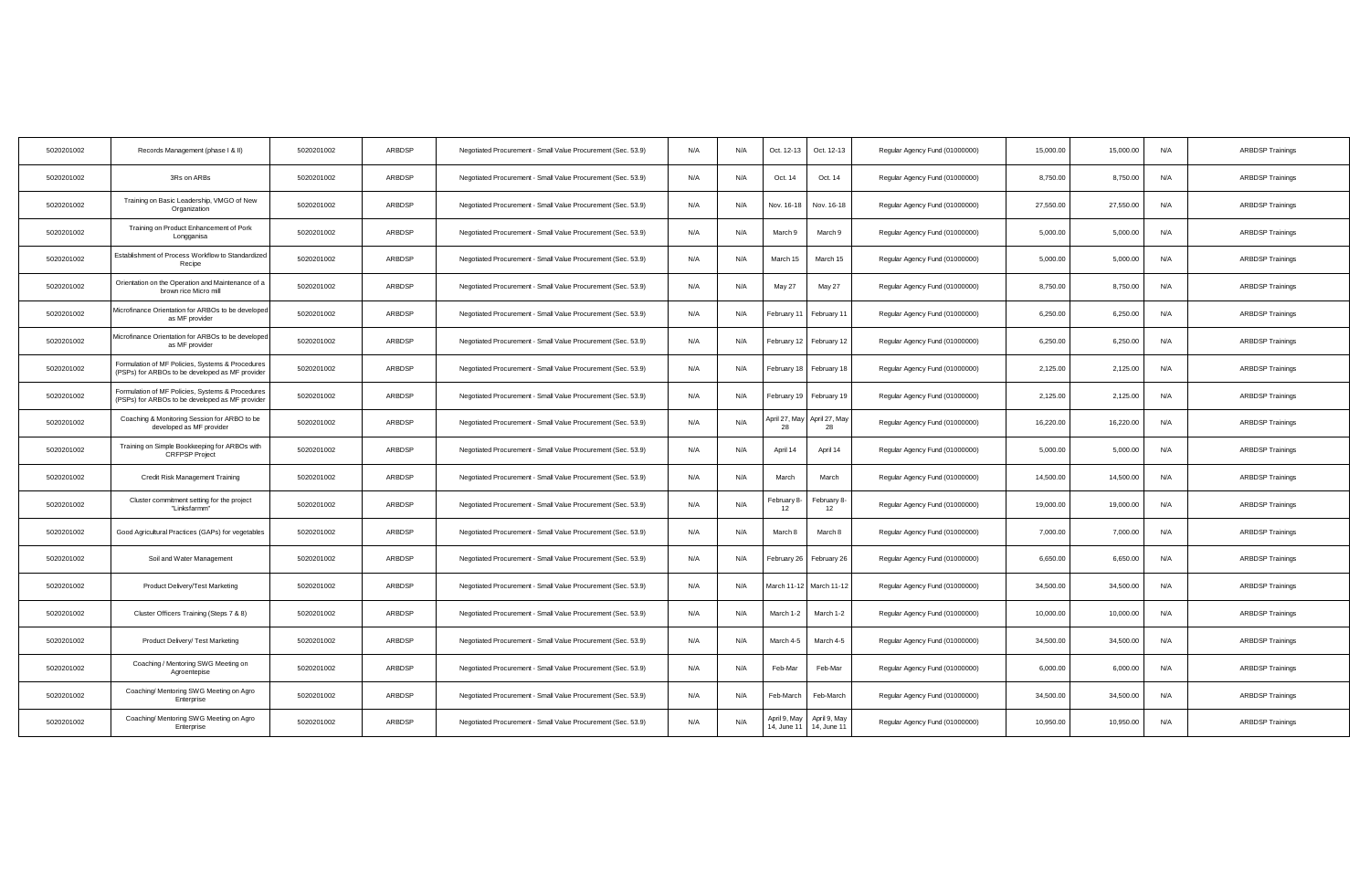| 5020201002 | Records Management (phase I & II)                                                                   | 5020201002 | ARBDSP | Negotiated Procurement - Small Value Procurement (Sec. 53.9) | N/A | N/A | Oct. 12-13                  | Oct. 12-13                  | Regular Agency Fund (01000000) | 15,000.00 | 15,000.00 | N/A | <b>ARBDSP Trainings</b> |
|------------|-----------------------------------------------------------------------------------------------------|------------|--------|--------------------------------------------------------------|-----|-----|-----------------------------|-----------------------------|--------------------------------|-----------|-----------|-----|-------------------------|
| 5020201002 | 3Rs on ARBs                                                                                         | 5020201002 | ARBDSP | Negotiated Procurement - Small Value Procurement (Sec. 53.9) | N/A | N/A | Oct. 14                     | Oct. 14                     | Regular Agency Fund (01000000) | 8,750.00  | 8,750.00  | N/A | <b>ARBDSP Trainings</b> |
| 5020201002 | Training on Basic Leadership, VMGO of New<br>Organization                                           | 5020201002 | ARBDSP | Negotiated Procurement - Small Value Procurement (Sec. 53.9) | N/A | N/A | Nov. 16-18                  | Nov. 16-18                  | Regular Agency Fund (01000000) | 27,550.00 | 27,550.00 | N/A | <b>ARBDSP Trainings</b> |
| 5020201002 | Training on Product Enhancement of Pork<br>Longganisa                                               | 5020201002 | ARBDSP | Negotiated Procurement - Small Value Procurement (Sec. 53.9) | N/A | N/A | March 9                     | March 9                     | Regular Agency Fund (01000000) | 5,000.00  | 5,000.00  | N/A | <b>ARBDSP Trainings</b> |
| 5020201002 | Establishment of Process Workflow to Standardized<br>Recipe                                         | 5020201002 | ARBDSP | Negotiated Procurement - Small Value Procurement (Sec. 53.9) | N/A | N/A | March 15                    | March 15                    | Regular Agency Fund (01000000) | 5,000.00  | 5,000.00  | N/A | <b>ARBDSP Trainings</b> |
| 5020201002 | Orientation on the Operation and Maintenance of a<br>brown rice Micro mill                          | 5020201002 | ARBDSP | Negotiated Procurement - Small Value Procurement (Sec. 53.9) | N/A | N/A | May 27                      | May 27                      | Regular Agency Fund (01000000) | 8,750.00  | 8,750.00  | N/A | <b>ARBDSP Trainings</b> |
| 5020201002 | Microfinance Orientation for ARBOs to be developed<br>as MF provider                                | 5020201002 | ARBDSP | Negotiated Procurement - Small Value Procurement (Sec. 53.9) | N/A | N/A | February 11                 | February 11                 | Regular Agency Fund (01000000) | 6,250.00  | 6,250.00  | N/A | <b>ARBDSP Trainings</b> |
| 5020201002 | Microfinance Orientation for ARBOs to be developed<br>as MF provider                                | 5020201002 | ARBDSP | Negotiated Procurement - Small Value Procurement (Sec. 53.9) | N/A | N/A | February 12                 | February 12                 | Regular Agency Fund (01000000) | 6,250.00  | 6.250.00  | N/A | <b>ARBDSP Trainings</b> |
| 5020201002 | Formulation of MF Policies, Systems & Procedures<br>(PSPs) for ARBOs to be developed as MF provider | 5020201002 | ARBDSP | Negotiated Procurement - Small Value Procurement (Sec. 53.9) | N/A | N/A | February 18                 | February 18                 | Regular Agency Fund (01000000) | 2,125.00  | 2,125.00  | N/A | <b>ARBDSP Trainings</b> |
| 5020201002 | Formulation of MF Policies, Systems & Procedures<br>(PSPs) for ARBOs to be developed as MF provider | 5020201002 | ARBDSP | Negotiated Procurement - Small Value Procurement (Sec. 53.9) | N/A | N/A | February 19                 | February 19                 | Regular Agency Fund (01000000) | 2,125.00  | 2,125.00  | N/A | <b>ARBDSP Trainings</b> |
| 5020201002 | Coaching & Monitoring Session for ARBO to be<br>developed as MF provider                            | 5020201002 | ARBDSP | Negotiated Procurement - Small Value Procurement (Sec. 53.9) | N/A | N/A | April 27, May<br>28         | April 27, May<br>28         | Regular Agency Fund (01000000) | 16,220.00 | 16,220.00 | N/A | <b>ARBDSP Trainings</b> |
| 5020201002 | Training on Simple Bookkeeping for ARBOs with<br><b>CRFPSP Project</b>                              | 5020201002 | ARBDSP | Negotiated Procurement - Small Value Procurement (Sec. 53.9) | N/A | N/A | April 14                    | April 14                    | Regular Agency Fund (01000000) | 5,000.00  | 5,000.00  | N/A | <b>ARBDSP Trainings</b> |
| 5020201002 | Credit Risk Management Training                                                                     | 5020201002 | ARBDSP | Negotiated Procurement - Small Value Procurement (Sec. 53.9) | N/A | N/A | March                       | March                       | Regular Agency Fund (01000000) | 14,500.00 | 14,500.00 | N/A | <b>ARBDSP Trainings</b> |
| 5020201002 | Cluster commitment setting for the project<br>"Linksfarmm"                                          | 5020201002 | ARBDSP | Negotiated Procurement - Small Value Procurement (Sec. 53.9) | N/A | N/A | February &<br>12            | February 8-<br>12           | Regular Agency Fund (01000000) | 19,000.00 | 19,000.00 | N/A | <b>ARBDSP Trainings</b> |
| 5020201002 | Good Agricultural Practices (GAPs) for vegetables                                                   | 5020201002 | ARBDSP | Negotiated Procurement - Small Value Procurement (Sec. 53.9) | N/A | N/A | March 8                     | March 8                     | Regular Agency Fund (01000000) | 7,000.00  | 7,000.00  | N/A | <b>ARBDSP Trainings</b> |
| 5020201002 | Soil and Water Management                                                                           | 5020201002 | ARBDSP | Negotiated Procurement - Small Value Procurement (Sec. 53.9) | N/A | N/A | February 26                 | February 26                 | Regular Agency Fund (01000000) | 6,650.00  | 6,650.0   | N/A | <b>ARBDSP Trainings</b> |
| 5020201002 | Product Delivery/Test Marketing                                                                     | 5020201002 | ARBDSP | Negotiated Procurement - Small Value Procurement (Sec. 53.9) | N/A | N/A | March 11-12                 | March 11-12                 | Regular Agency Fund (01000000) | 34,500.00 | 34,500.00 | N/A | <b>ARBDSP Trainings</b> |
| 5020201002 | Cluster Officers Training (Steps 7 & 8)                                                             | 5020201002 | ARBDSP | Negotiated Procurement - Small Value Procurement (Sec. 53.9) | N/A | N/A | March 1-2                   | March 1-2                   | Regular Agency Fund (01000000) | 10,000.00 | 10,000.00 | N/A | <b>ARBDSP Trainings</b> |
| 5020201002 | Product Delivery/ Test Marketing                                                                    | 5020201002 | ARBDSP | Negotiated Procurement - Small Value Procurement (Sec. 53.9) | N/A | N/A | March 4-5                   | March 4-5                   | Regular Agency Fund (01000000) | 34,500.00 | 34,500.00 | N/A | <b>ARBDSP Trainings</b> |
| 5020201002 | Coaching / Mentoring SWG Meeting on<br>Agroentepise                                                 | 5020201002 | ARBDSP | Negotiated Procurement - Small Value Procurement (Sec. 53.9) | N/A | N/A | Feb-Mar                     | Feb-Mar                     | Regular Agency Fund (01000000) | 6,000.00  | 6,000.00  | N/A | <b>ARBDSP Trainings</b> |
| 5020201002 | Coaching/ Mentoring SWG Meeting on Agro<br>Enterprise                                               | 5020201002 | ARBDSP | Negotiated Procurement - Small Value Procurement (Sec. 53.9) | N/A | N/A | Feb-March                   | Feb-March                   | Regular Agency Fund (01000000) | 34,500.00 | 34,500.00 | N/A | <b>ARBDSP Trainings</b> |
| 5020201002 | Coaching/ Mentoring SWG Meeting on Agro<br>Enterprise                                               | 5020201002 | ARBDSP | Negotiated Procurement - Small Value Procurement (Sec. 53.9) | N/A | N/A | April 9, May<br>14, June 11 | April 9, May<br>14, June 11 | Regular Agency Fund (01000000) | 10,950.00 | 10,950.00 | N/A | <b>ARBDSP Trainings</b> |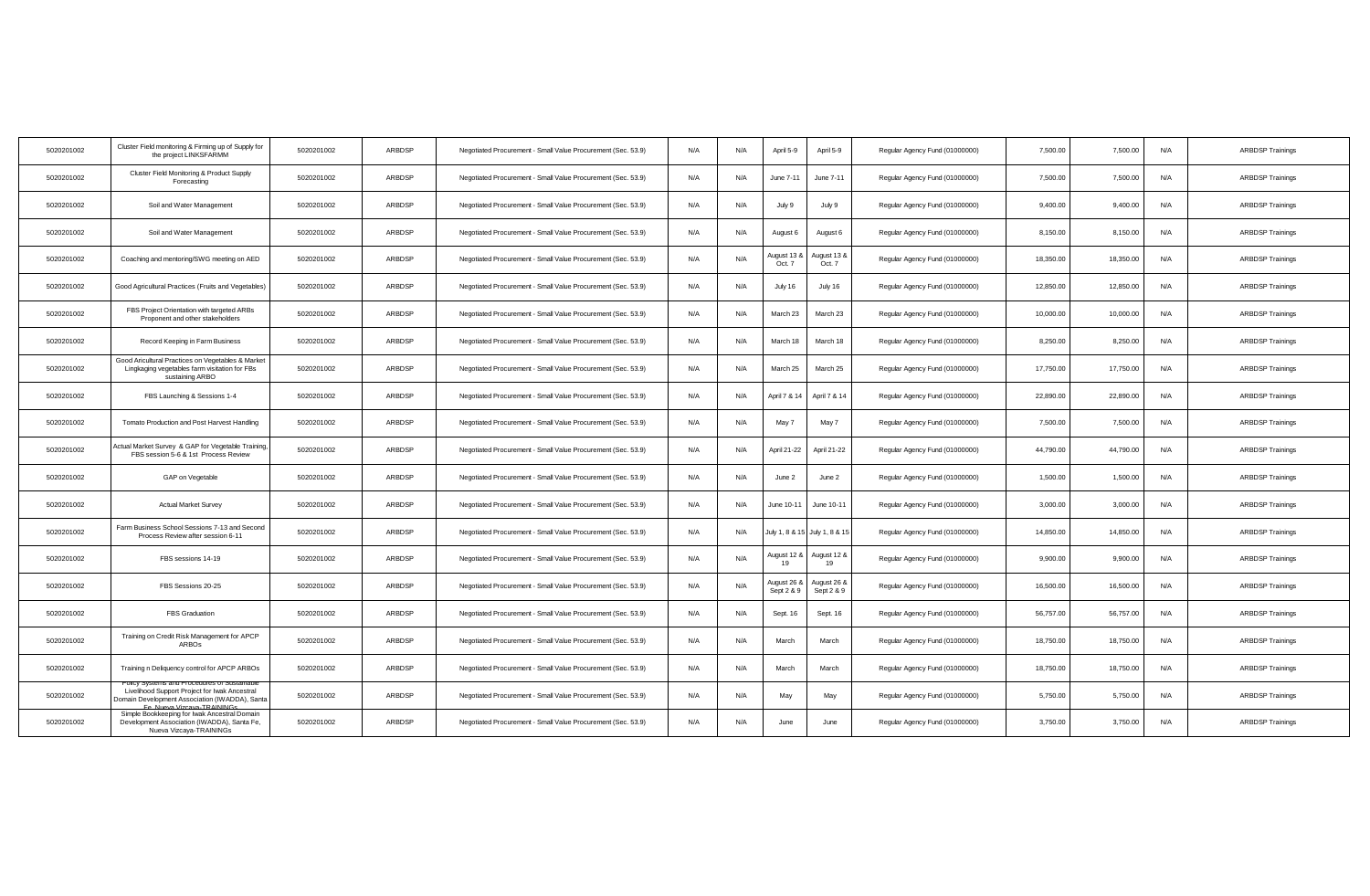| 5020201002 | Cluster Field monitoring & Firming up of Supply for<br>the project LINKSFARMM                                             | 5020201002 | ARBDSP | Negotiated Procurement - Small Value Procurement (Sec. 53.9) | N/A | N/A | April 5-9                 | April 5-9                     | Regular Agency Fund (01000000) | 7,500.00  | 7,500.00  | N/A | <b>ARBDSP Trainings</b> |
|------------|---------------------------------------------------------------------------------------------------------------------------|------------|--------|--------------------------------------------------------------|-----|-----|---------------------------|-------------------------------|--------------------------------|-----------|-----------|-----|-------------------------|
| 5020201002 | Cluster Field Monitoring & Product Supply<br>Forecasting                                                                  | 5020201002 | ARBDSP | Negotiated Procurement - Small Value Procurement (Sec. 53.9) | N/A | N/A | June 7-11                 | June 7-11                     | Regular Agency Fund (01000000) | 7,500.00  | 7,500.00  | N/A | <b>ARBDSP Trainings</b> |
| 5020201002 | Soil and Water Management                                                                                                 | 5020201002 | ARBDSP | Negotiated Procurement - Small Value Procurement (Sec. 53.9) | N/A | N/A | July 9                    | July 9                        | Regular Agency Fund (01000000) | 9,400.00  | 9,400.00  | N/A | <b>ARBDSP Trainings</b> |
| 5020201002 | Soil and Water Management                                                                                                 | 5020201002 | ARBDSP | Negotiated Procurement - Small Value Procurement (Sec. 53.9) | N/A | N/A | August 6                  | August 6                      | Regular Agency Fund (01000000) | 8,150.00  | 8,150.00  | N/A | <b>ARBDSP Trainings</b> |
| 5020201002 | Coaching and mentoring/SWG meeting on AED                                                                                 | 5020201002 | ARBDSP | Negotiated Procurement - Small Value Procurement (Sec. 53.9) | N/A | N/A | August 13 &<br>Oct. 7     | lugust 13 &<br>Oct. 7         | Regular Agency Fund (01000000) | 18,350.00 | 18,350.00 | N/A | <b>ARBDSP Trainings</b> |
| 5020201002 | Good Agricultural Practices (Fruits and Vegetables)                                                                       | 5020201002 | ARBDSP | Negotiated Procurement - Small Value Procurement (Sec. 53.9) | N/A | N/A | July 16                   | July 16                       | Regular Agency Fund (01000000) | 12,850.00 | 12,850.00 | N/A | <b>ARBDSP Trainings</b> |
| 5020201002 | FBS Project Orientation with targeted ARBs<br>Proponent and other stakeholders                                            | 5020201002 | ARBDSP | Negotiated Procurement - Small Value Procurement (Sec. 53.9) | N/A | N/A | March 23                  | March 23                      | Regular Agency Fund (01000000) | 10,000.00 | 10,000.00 | N/A | <b>ARBDSP Trainings</b> |
| 5020201002 | Record Keeping in Farm Business                                                                                           | 5020201002 | ARBDSP | Negotiated Procurement - Small Value Procurement (Sec. 53.9) | N/A | N/A | March 18                  | March 18                      | Regular Agency Fund (01000000) | 8,250.00  | 8.250.00  | N/A | <b>ARBDSP Trainings</b> |
| 5020201002 | Good Aricultural Practices on Vegetables & Market<br>Lingkaging vegetables farm visitation for FBs<br>sustaining ARBO     | 5020201002 | ARBDSP | Negotiated Procurement - Small Value Procurement (Sec. 53.9) | N/A | N/A | March 25                  | March 25                      | Regular Agency Fund (01000000) | 17,750.00 | 17,750.00 | N/A | <b>ARBDSP Trainings</b> |
| 5020201002 | FBS Launching & Sessions 1-4                                                                                              | 5020201002 | ARBDSP | Negotiated Procurement - Small Value Procurement (Sec. 53.9) | N/A | N/A | April 7 & 14              | April 7 & 14                  | Regular Agency Fund (01000000) | 22,890.00 | 22,890.00 | N/A | <b>ARBDSP Trainings</b> |
| 5020201002 | Tomato Production and Post Harvest Handling                                                                               | 5020201002 | ARBDSP | Negotiated Procurement - Small Value Procurement (Sec. 53.9) | N/A | N/A | May 7                     | May 7                         | Regular Agency Fund (01000000) | 7,500.00  | 7,500.00  | N/A | <b>ARBDSP Trainings</b> |
| 5020201002 | ctual Market Survey & GAP for Vegetable Training,<br>FBS session 5-6 & 1st Process Review                                 | 5020201002 | ARBDSP | Negotiated Procurement - Small Value Procurement (Sec. 53.9) | N/A | N/A | April 21-22               | April 21-22                   | Regular Agency Fund (01000000) | 44,790.00 | 44,790.00 | N/A | <b>ARBDSP Trainings</b> |
| 5020201002 | GAP on Vegetable                                                                                                          | 5020201002 | ARBDSP | Negotiated Procurement - Small Value Procurement (Sec. 53.9) | N/A | N/A | June 2                    | June 2                        | Regular Agency Fund (01000000) | 1,500.00  | 1,500.00  | N/A | <b>ARBDSP Trainings</b> |
| 5020201002 | <b>Actual Market Survey</b>                                                                                               | 5020201002 | ARBDSP | Negotiated Procurement - Small Value Procurement (Sec. 53.9) | N/A | N/A | June 10-11                | June 10-11                    | Regular Agency Fund (01000000) | 3,000.00  | 3,000.00  | N/A | <b>ARBDSP Trainings</b> |
| 5020201002 | Farm Business School Sessions 7-13 and Second<br>Process Review after session 6-11                                        | 5020201002 | ARBDSP | Negotiated Procurement - Small Value Procurement (Sec. 53.9) | N/A | N/A |                           | July 1, 8 & 15 July 1, 8 & 15 | Regular Agency Fund (01000000) | 14,850.00 | 14,850.00 | N/A | <b>ARBDSP Trainings</b> |
| 5020201002 | FBS sessions 14-19                                                                                                        | 5020201002 | ARBDSP | Negotiated Procurement - Small Value Procurement (Sec. 53.9) | N/A | N/A | August 12 &<br>19         | August 12 &<br>19             | Regular Agency Fund (01000000) | 9,900.00  | 9,900.00  | N/A | <b>ARBDSP Trainings</b> |
| 5020201002 | FBS Sessions 20-25                                                                                                        | 5020201002 | ARBDSP | Negotiated Procurement - Small Value Procurement (Sec. 53.9) | N/A | N/A | Nugust 26 ≀<br>Sept 2 & 9 | August 26 &<br>Sept 2 & 9     | Regular Agency Fund (01000000) | 16,500.00 | 16,500.00 | N/A | <b>ARBDSP Trainings</b> |
| 5020201002 | FBS Graduation                                                                                                            | 5020201002 | ARBDSP | Negotiated Procurement - Small Value Procurement (Sec. 53.9) | N/A | N/A | Sept. 16                  | Sept. 16                      | Regular Agency Fund (01000000) | 56,757.00 | 56,757.00 | N/A | <b>ARBDSP Trainings</b> |
| 5020201002 | Training on Credit Risk Management for APCP<br><b>ARBOs</b>                                                               | 5020201002 | ARBDSP | Negotiated Procurement - Small Value Procurement (Sec. 53.9) | N/A | N/A | March                     | March                         | Regular Agency Fund (01000000) | 18,750.00 | 18,750.00 | N/A | <b>ARBDSP Trainings</b> |
| 5020201002 | Training n Deliquency control for APCP ARBOs                                                                              | 5020201002 | ARBDSP | Negotiated Procurement - Small Value Procurement (Sec. 53.9) | N/A | N/A | March                     | March                         | Regular Agency Fund (01000000) | 18,750.00 | 18,750.00 | N/A | <b>ARBDSP Trainings</b> |
| 5020201002 | Livelihood Support Project for Iwak Ancestral<br>Jomain Development Association (IWADDA), Santa<br>Nueva Vizcave-TRAINING | 5020201002 | ARBDSP | Negotiated Procurement - Small Value Procurement (Sec. 53.9) | N/A | N/A | May                       | May                           | Regular Agency Fund (01000000) | 5,750.00  | 5,750.00  | N/A | <b>ARBDSP Trainings</b> |
| 5020201002 | Simple Bookkeeping for Iwak Ancestral Domain<br>Development Association (IWADDA), Santa Fe,<br>Nueva Vizcaya-TRAININGs    | 5020201002 | ARBDSP | Negotiated Procurement - Small Value Procurement (Sec. 53.9) | N/A | N/A | June                      | June                          | Regular Agency Fund (01000000) | 3,750.00  | 3,750.00  | N/A | <b>ARBDSP Trainings</b> |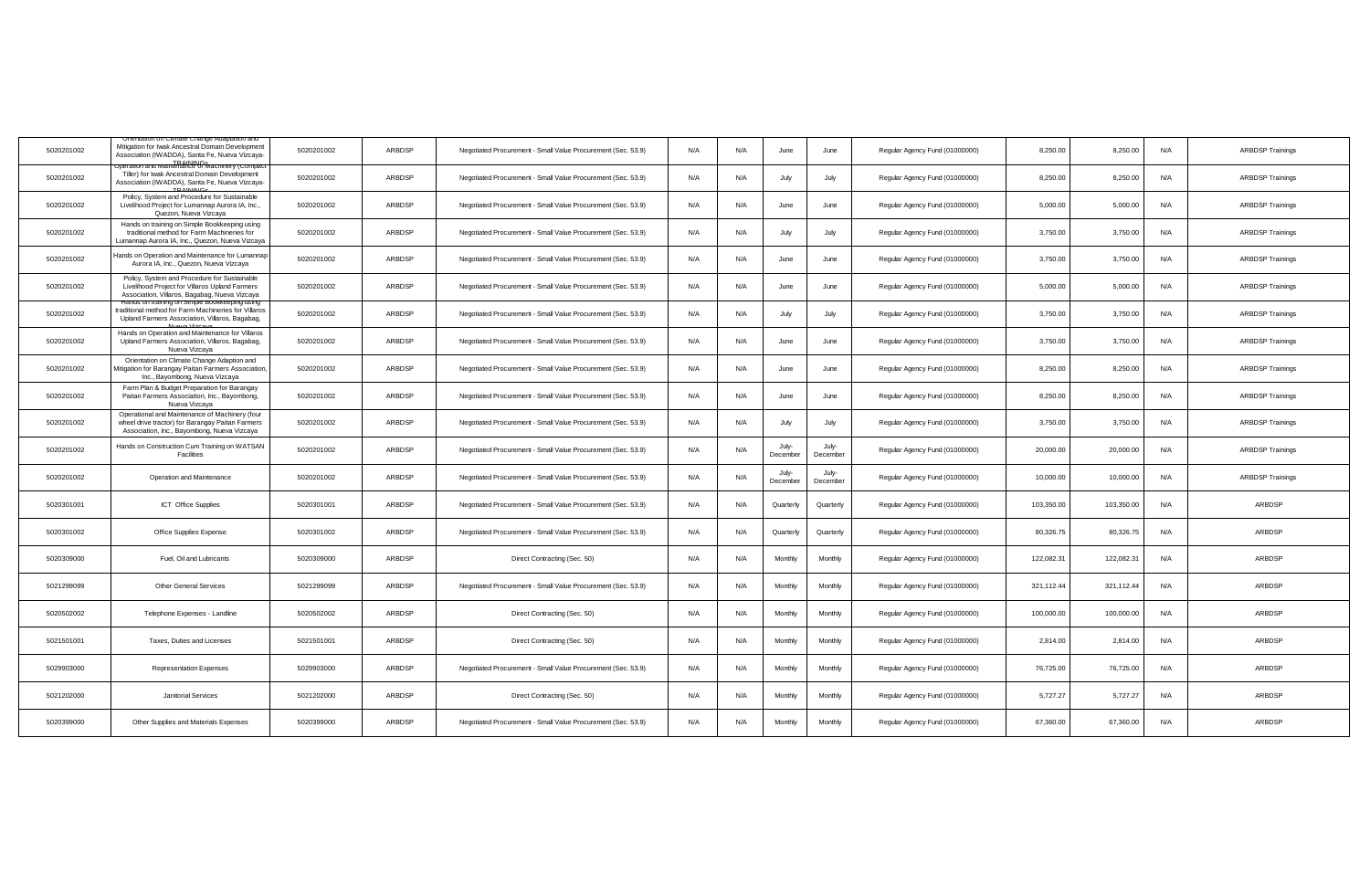| 5020201002 | Mitigation for Iwak Ancestral Domain Development<br>Association (IWADDA), Santa Fe, Nueva Vizcaya-                                                      | 5020201002 | ARBDSP | Negotiated Procurement - Small Value Procurement (Sec. 53.9) | N/A | N/A | June              | June              | Regular Agency Fund (01000000) | 8,250.00   | 8,250.00   | N/A | <b>ARBDSP Trainings</b> |
|------------|---------------------------------------------------------------------------------------------------------------------------------------------------------|------------|--------|--------------------------------------------------------------|-----|-----|-------------------|-------------------|--------------------------------|------------|------------|-----|-------------------------|
| 5020201002 | ttion and Maintenance of<br>Tiller) for Iwak Ancestral Domain Development<br>Association (IWADDA), Santa Fe, Nueva Vizcaya-                             | 5020201002 | ARBDSP | Negotiated Procurement - Small Value Procurement (Sec. 53.9) | N/A | N/A | July              | July              | Regular Agency Fund (01000000) | 8,250.00   | 8,250.00   | N/A | <b>ARBDSP Trainings</b> |
| 5020201002 | Policy, System and Procedure for Sustainable<br>Livelihood Project for Lumannap Aurora IA, Inc.,<br>Quezon, Nueva Vizcaya                               | 5020201002 | ARBDSP | Negotiated Procurement - Small Value Procurement (Sec. 53.9) | N/A | N/A | June              | June              | Regular Agency Fund (01000000) | 5,000.00   | 5,000.00   | N/A | <b>ARBDSP Trainings</b> |
| 5020201002 | Hands on training on Simple Bookkeeping using<br>traditional method for Farm Machineries for<br>Lumannap Aurora IA, Inc., Quezon, Nueva Vizcaya         | 5020201002 | ARBDSP | Negotiated Procurement - Small Value Procurement (Sec. 53.9) | N/A | N/A | July              | July              | Regular Agency Fund (01000000) | 3,750.00   | 3,750.00   | N/A | <b>ARBDSP Trainings</b> |
| 5020201002 | lands on Operation and Maintenance for Lumannap<br>Aurora IA, Inc., Quezon, Nueva Vizcava                                                               | 5020201002 | ARBDSP | Negotiated Procurement - Small Value Procurement (Sec. 53.9) | N/A | N/A | June              | June              | Regular Agency Fund (01000000) | 3,750.00   | 3,750.00   | N/A | <b>ARBDSP Trainings</b> |
| 5020201002 | Policy, System and Procedure for Sustainable<br>Livelihood Project for Villaros Upland Farmers<br>Association, Villaros, Bagabag, Nueva Vizcaya         | 5020201002 | ARBDSP | Negotiated Procurement - Small Value Procurement (Sec. 53.9) | N/A | N/A | June              | June              | Regular Agency Fund (01000000) | 5,000.00   | 5,000.00   | N/A | <b>ARBDSP Trainings</b> |
| 5020201002 | Hands on training on Simple Bookkeeping using<br>traditional method for Farm Machineries for Villaros<br>Upland Farmers Association, Villaros, Bagabag, | 5020201002 | ARBDSP | Negotiated Procurement - Small Value Procurement (Sec. 53.9) | N/A | N/A | July              | July              | Regular Agency Fund (01000000) | 3,750.00   | 3,750.00   | N/A | <b>ARBDSP Trainings</b> |
| 5020201002 | Hands on Operation and Maintenance for Villaros<br>Upland Farmers Association, Villaros, Bagabag,<br>Nueva Vizcaya                                      | 5020201002 | ARBDSP | Negotiated Procurement - Small Value Procurement (Sec. 53.9) | N/A | N/A | June              | June              | Regular Agency Fund (01000000) | 3,750.00   | 3,750.00   | N/A | <b>ARBDSP Trainings</b> |
| 5020201002 | Orientation on Climate Change Adaption and<br>Aitigation for Barangay Paitan Farmers Association,<br>Inc., Bayombong, Nueva Vizcaya                     | 5020201002 | ARBDSP | Negotiated Procurement - Small Value Procurement (Sec. 53.9) | N/A | N/A | June              | June              | Regular Agency Fund (01000000) | 8,250.00   | 8,250.00   | N/A | <b>ARBDSP Trainings</b> |
| 5020201002 | Farm Plan & Budget Preparation for Barangay<br>Paitan Farmers Association, Inc., Bayombong,<br>Nueva Vizcava                                            | 5020201002 | ARBDSP | Negotiated Procurement - Small Value Procurement (Sec. 53.9) | N/A | N/A | June              | June              | Regular Agency Fund (01000000) | 8,250.00   | 8,250.00   | N/A | <b>ARBDSP Trainings</b> |
| 5020201002 | Operational and Maintenance of Machinery (four<br>wheel drive tractor) for Barangay Paitan Farmers<br>Association, Inc., Bayombong, Nueva Vizcaya       | 5020201002 | ARBDSP | Negotiated Procurement - Small Value Procurement (Sec. 53.9) | N/A | N/A | July              | July              | Regular Agency Fund (01000000) | 3,750.00   | 3,750.00   | N/A | <b>ARBDSP Trainings</b> |
| 5020201002 | Hands on Construction Cum Training on WATSAN<br>Facilities                                                                                              | 5020201002 | ARBDSP | Negotiated Procurement - Small Value Procurement (Sec. 53.9) | N/A | N/A | July-<br>December | July-<br>December | Regular Agency Fund (01000000) | 20,000.00  | 20,000.00  | N/A | <b>ARBDSP Trainings</b> |
| 5020201002 | Operation and Maintenance                                                                                                                               | 5020201002 | ARBDSP | Negotiated Procurement - Small Value Procurement (Sec. 53.9) | N/A | N/A | July-<br>December | July-<br>December | Regular Agency Fund (01000000) | 10,000.00  | 10,000.00  | N/A | <b>ARBDSP Trainings</b> |
| 5020301001 | <b>ICT</b> Office Supplies                                                                                                                              | 5020301001 | ARBDSP | Negotiated Procurement - Small Value Procurement (Sec. 53.9) | N/A | N/A | Quarterly         | Quarterly         | Regular Agency Fund (01000000) | 103.350.00 | 103.350.00 | N/A | ARBDSP                  |
| 5020301002 | Office Supplies Expense                                                                                                                                 | 5020301002 | ARBDSP | Negotiated Procurement - Small Value Procurement (Sec. 53.9) | N/A | N/A | Quarterly         | Quarterly         | Regular Agency Fund (01000000) | 80,326.75  | 80,326.7   | N/A | ARBDSP                  |
| 5020309000 | Fuel, Oil and Lubricants                                                                                                                                | 5020309000 | ARBDSP | Direct Contracting (Sec. 50)                                 | N/A | N/A | Monthly           | Monthly           | Regular Agency Fund (01000000) | 122,082.31 | 122,082.3  | N/A | ARBDSP                  |
| 5021299099 | <b>Other General Services</b>                                                                                                                           | 5021299099 | ARBDSP | Negotiated Procurement - Small Value Procurement (Sec. 53.9) | N/A | N/A | Monthly           | Monthly           | Regular Agency Fund (01000000) | 321,112.44 | 321,112.44 | N/A | ARBDSP                  |
| 5020502002 | Telephone Expenses - Landline                                                                                                                           | 5020502002 | ARBDSP | Direct Contracting (Sec. 50)                                 | N/A | N/A | Monthly           | Monthly           | Regular Agency Fund (01000000) | 100,000.00 | 100,000.00 | N/A | ARBDSP                  |
| 5021501001 | Taxes, Duties and Licenses                                                                                                                              | 5021501001 | ARBDSP | Direct Contracting (Sec. 50)                                 | N/A | N/A | Monthly           | Monthly           | Regular Agency Fund (01000000) | 2,814.00   | 2,814.00   | N/A | ARBDSP                  |
| 5029903000 | Representation Expenses                                                                                                                                 | 5029903000 | ARBDSP | Negotiated Procurement - Small Value Procurement (Sec. 53.9) | N/A | N/A | Monthly           | Monthly           | Regular Agency Fund (01000000) | 76,725.00  | 76,725.00  | N/A | ARBDSP                  |
| 5021202000 | <b>Janitorial Services</b>                                                                                                                              | 5021202000 | ARBDSP | Direct Contracting (Sec. 50)                                 | N/A | N/A | Monthly           | Monthly           | Regular Agency Fund (01000000) | 5,727.27   | 5,727.27   | N/A | ARBDSP                  |
| 5020399000 | Other Supplies and Materials Expenses                                                                                                                   | 5020399000 | ARBDSP | Negotiated Procurement - Small Value Procurement (Sec. 53.9) | N/A | N/A | Monthly           | Monthly           | Regular Agency Fund (01000000) | 67,360.00  | 67,360.00  | N/A | ARBDSP                  |